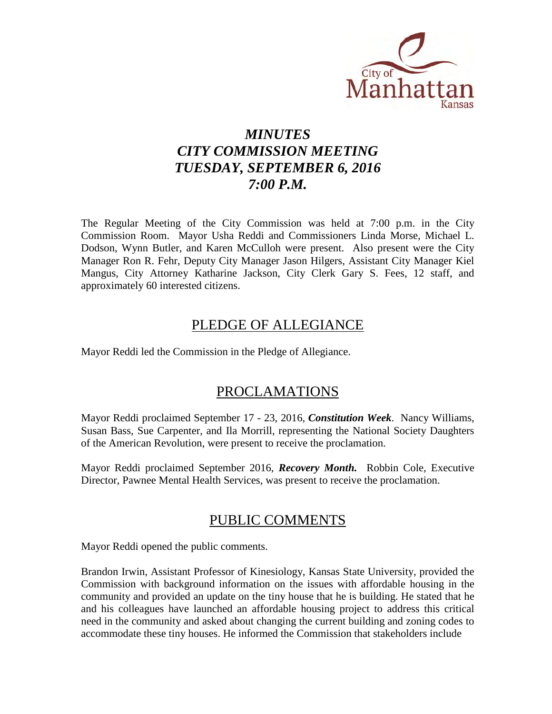

# *MINUTES CITY COMMISSION MEETING TUESDAY, SEPTEMBER 6, 2016 7:00 P.M.*

The Regular Meeting of the City Commission was held at 7:00 p.m. in the City Commission Room. Mayor Usha Reddi and Commissioners Linda Morse, Michael L. Dodson, Wynn Butler, and Karen McCulloh were present. Also present were the City Manager Ron R. Fehr, Deputy City Manager Jason Hilgers, Assistant City Manager Kiel Mangus, City Attorney Katharine Jackson, City Clerk Gary S. Fees, 12 staff, and approximately 60 interested citizens.

# PLEDGE OF ALLEGIANCE

Mayor Reddi led the Commission in the Pledge of Allegiance.

# PROCLAMATIONS

Mayor Reddi proclaimed September 17 - 23, 2016, *Constitution Week*. Nancy Williams, Susan Bass, Sue Carpenter, and Ila Morrill, representing the National Society Daughters of the American Revolution, were present to receive the proclamation.

Mayor Reddi proclaimed September 2016, *Recovery Month.* Robbin Cole, Executive Director, Pawnee Mental Health Services, was present to receive the proclamation.

# PUBLIC COMMENTS

Mayor Reddi opened the public comments.

Brandon Irwin, Assistant Professor of Kinesiology, Kansas State University, provided the Commission with background information on the issues with affordable housing in the community and provided an update on the tiny house that he is building. He stated that he and his colleagues have launched an affordable housing project to address this critical need in the community and asked about changing the current building and zoning codes to accommodate these tiny houses. He informed the Commission that stakeholders include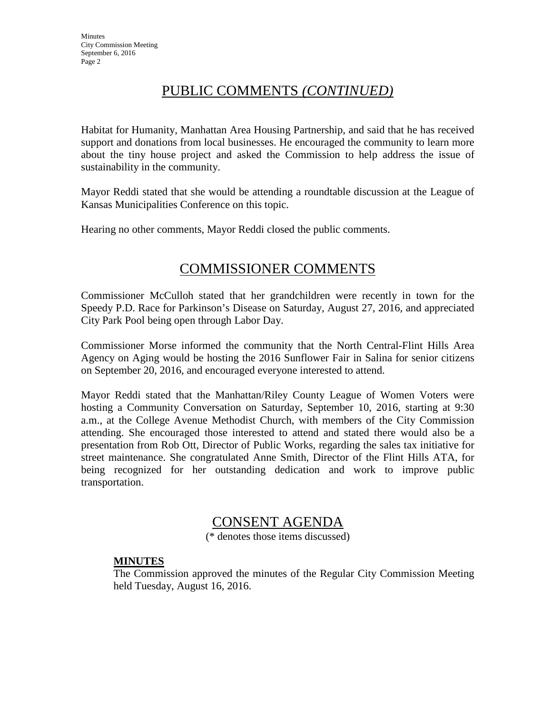# PUBLIC COMMENTS *(CONTINUED)*

Habitat for Humanity, Manhattan Area Housing Partnership, and said that he has received support and donations from local businesses. He encouraged the community to learn more about the tiny house project and asked the Commission to help address the issue of sustainability in the community.

Mayor Reddi stated that she would be attending a roundtable discussion at the League of Kansas Municipalities Conference on this topic.

Hearing no other comments, Mayor Reddi closed the public comments.

# COMMISSIONER COMMENTS

Commissioner McCulloh stated that her grandchildren were recently in town for the Speedy P.D. Race for Parkinson's Disease on Saturday, August 27, 2016, and appreciated City Park Pool being open through Labor Day.

Commissioner Morse informed the community that the North Central-Flint Hills Area Agency on Aging would be hosting the 2016 Sunflower Fair in Salina for senior citizens on September 20, 2016, and encouraged everyone interested to attend.

Mayor Reddi stated that the Manhattan/Riley County League of Women Voters were hosting a Community Conversation on Saturday, September 10, 2016, starting at 9:30 a.m., at the College Avenue Methodist Church, with members of the City Commission attending. She encouraged those interested to attend and stated there would also be a presentation from Rob Ott, Director of Public Works, regarding the sales tax initiative for street maintenance. She congratulated Anne Smith, Director of the Flint Hills ATA, for being recognized for her outstanding dedication and work to improve public transportation.

# CONSENT AGENDA

(\* denotes those items discussed)

# **MINUTES**

The Commission approved the minutes of the Regular City Commission Meeting held Tuesday, August 16, 2016.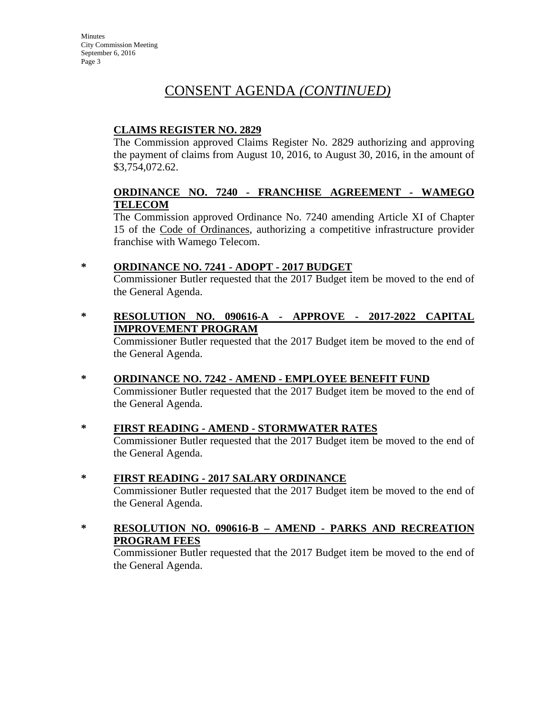# **CLAIMS REGISTER NO. 2829**

The Commission approved Claims Register No. 2829 authorizing and approving the payment of claims from August 10, 2016, to August 30, 2016, in the amount of \$3,754,072.62.

# **ORDINANCE NO. 7240 - FRANCHISE AGREEMENT - WAMEGO TELECOM**

The Commission approved Ordinance No. 7240 amending Article XI of Chapter 15 of the Code of Ordinances, authorizing a competitive infrastructure provider franchise with Wamego Telecom.

# **\* ORDINANCE NO. 7241 - ADOPT - 2017 BUDGET**

Commissioner Butler requested that the 2017 Budget item be moved to the end of the General Agenda.

**\* RESOLUTION NO. 090616-A - APPROVE - 2017-2022 CAPITAL IMPROVEMENT PROGRAM**

Commissioner Butler requested that the 2017 Budget item be moved to the end of the General Agenda.

- **\* ORDINANCE NO. 7242 AMEND EMPLOYEE BENEFIT FUND** Commissioner Butler requested that the 2017 Budget item be moved to the end of the General Agenda.
- **\* FIRST READING AMEND STORMWATER RATES** Commissioner Butler requested that the 2017 Budget item be moved to the end of the General Agenda.
- **\* FIRST READING 2017 SALARY ORDINANCE** Commissioner Butler requested that the 2017 Budget item be moved to the end of the General Agenda.
- **\* RESOLUTION NO. 090616-B AMEND PARKS AND RECREATION PROGRAM FEES**

Commissioner Butler requested that the 2017 Budget item be moved to the end of the General Agenda.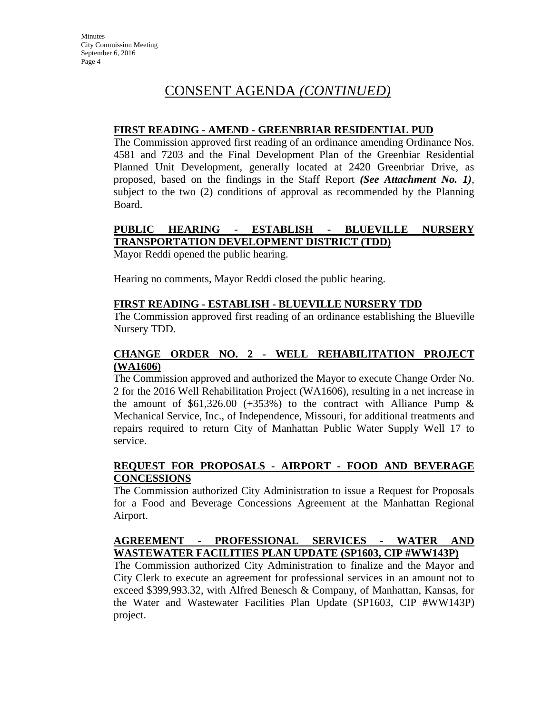### **FIRST READING - AMEND - GREENBRIAR RESIDENTIAL PUD**

The Commission approved first reading of an ordinance amending Ordinance Nos. 4581 and 7203 and the Final Development Plan of the Greenbiar Residential Planned Unit Development, generally located at 2420 Greenbriar Drive, as proposed, based on the findings in the Staff Report *(See Attachment No. 1)*, subject to the two (2) conditions of approval as recommended by the Planning Board.

# **PUBLIC HEARING - ESTABLISH - BLUEVILLE NURSERY TRANSPORTATION DEVELOPMENT DISTRICT (TDD)**

Mayor Reddi opened the public hearing.

Hearing no comments, Mayor Reddi closed the public hearing.

### **FIRST READING - ESTABLISH - BLUEVILLE NURSERY TDD**

The Commission approved first reading of an ordinance establishing the Blueville Nursery TDD.

# **CHANGE ORDER NO. 2 - WELL REHABILITATION PROJECT (WA1606)**

The Commission approved and authorized the Mayor to execute Change Order No. 2 for the 2016 Well Rehabilitation Project (WA1606), resulting in a net increase in the amount of \$61,326.00 (+353%) to the contract with Alliance Pump  $\&$ Mechanical Service, Inc., of Independence, Missouri, for additional treatments and repairs required to return City of Manhattan Public Water Supply Well 17 to service.

# **REQUEST FOR PROPOSALS - AIRPORT - FOOD AND BEVERAGE CONCESSIONS**

The Commission authorized City Administration to issue a Request for Proposals for a Food and Beverage Concessions Agreement at the Manhattan Regional Airport.

# **AGREEMENT - PROFESSIONAL SERVICES - WATER AND WASTEWATER FACILITIES PLAN UPDATE (SP1603, CIP #WW143P)**

The Commission authorized City Administration to finalize and the Mayor and City Clerk to execute an agreement for professional services in an amount not to exceed \$399,993.32, with Alfred Benesch & Company, of Manhattan, Kansas, for the Water and Wastewater Facilities Plan Update (SP1603, CIP #WW143P) project.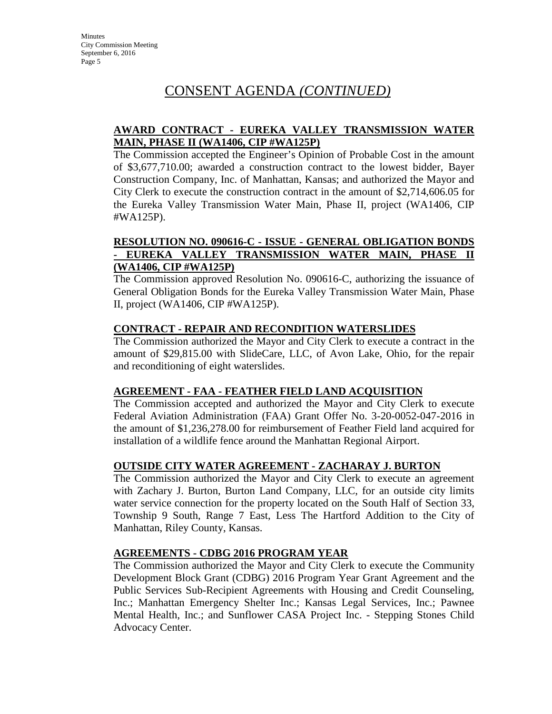# **AWARD CONTRACT - EUREKA VALLEY TRANSMISSION WATER MAIN, PHASE II (WA1406, CIP #WA125P)**

The Commission accepted the Engineer's Opinion of Probable Cost in the amount of \$3,677,710.00; awarded a construction contract to the lowest bidder, Bayer Construction Company, Inc. of Manhattan, Kansas; and authorized the Mayor and City Clerk to execute the construction contract in the amount of \$2,714,606.05 for the Eureka Valley Transmission Water Main, Phase II, project (WA1406, CIP #WA125P).

### **RESOLUTION NO. 090616-C - ISSUE - GENERAL OBLIGATION BONDS - EUREKA VALLEY TRANSMISSION WATER MAIN, PHASE II (WA1406, CIP #WA125P)**

The Commission approved Resolution No. 090616-C, authorizing the issuance of General Obligation Bonds for the Eureka Valley Transmission Water Main, Phase II, project (WA1406, CIP #WA125P).

# **CONTRACT - REPAIR AND RECONDITION WATERSLIDES**

The Commission authorized the Mayor and City Clerk to execute a contract in the amount of \$29,815.00 with SlideCare, LLC, of Avon Lake, Ohio, for the repair and reconditioning of eight waterslides.

# **AGREEMENT - FAA - FEATHER FIELD LAND ACQUISITION**

The Commission accepted and authorized the Mayor and City Clerk to execute Federal Aviation Administration (FAA) Grant Offer No. 3-20-0052-047-2016 in the amount of \$1,236,278.00 for reimbursement of Feather Field land acquired for installation of a wildlife fence around the Manhattan Regional Airport.

# **OUTSIDE CITY WATER AGREEMENT - ZACHARAY J. BURTON**

The Commission authorized the Mayor and City Clerk to execute an agreement with Zachary J. Burton, Burton Land Company, LLC, for an outside city limits water service connection for the property located on the South Half of Section 33, Township 9 South, Range 7 East, Less The Hartford Addition to the City of Manhattan, Riley County, Kansas.

# **AGREEMENTS - CDBG 2016 PROGRAM YEAR**

The Commission authorized the Mayor and City Clerk to execute the Community Development Block Grant (CDBG) 2016 Program Year Grant Agreement and the Public Services Sub-Recipient Agreements with Housing and Credit Counseling, Inc.; Manhattan Emergency Shelter Inc.; Kansas Legal Services, Inc.; Pawnee Mental Health, Inc.; and Sunflower CASA Project Inc. - Stepping Stones Child Advocacy Center.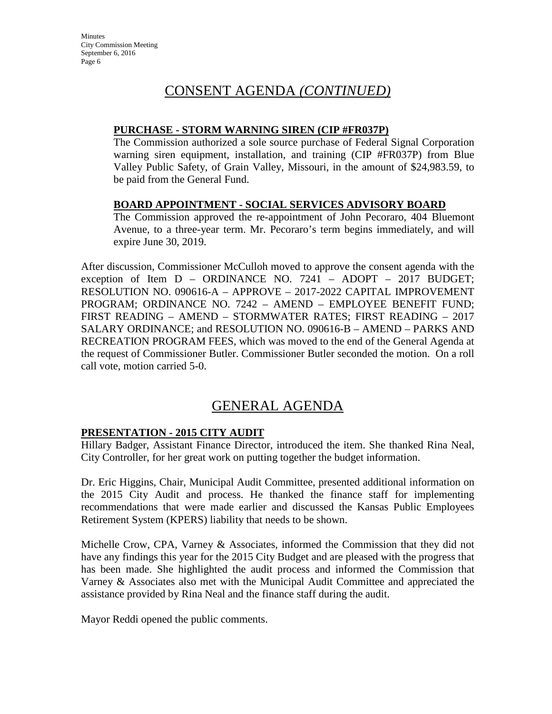### **PURCHASE - STORM WARNING SIREN (CIP #FR037P)**

The Commission authorized a sole source purchase of Federal Signal Corporation warning siren equipment, installation, and training (CIP #FR037P) from Blue Valley Public Safety, of Grain Valley, Missouri, in the amount of \$24,983.59, to be paid from the General Fund.

# **BOARD APPOINTMENT - SOCIAL SERVICES ADVISORY BOARD**

The Commission approved the re-appointment of John Pecoraro, 404 Bluemont Avenue, to a three-year term. Mr. Pecoraro's term begins immediately, and will expire June 30, 2019.

After discussion, Commissioner McCulloh moved to approve the consent agenda with the exception of Item D – ORDINANCE NO. 7241 – ADOPT – 2017 BUDGET; RESOLUTION NO. 090616-A – APPROVE – 2017-2022 CAPITAL IMPROVEMENT PROGRAM; ORDINANCE NO. 7242 – AMEND – EMPLOYEE BENEFIT FUND; FIRST READING – AMEND – STORMWATER RATES; FIRST READING – 2017 SALARY ORDINANCE; and RESOLUTION NO. 090616-B – AMEND – PARKS AND RECREATION PROGRAM FEES, which was moved to the end of the General Agenda at the request of Commissioner Butler. Commissioner Butler seconded the motion. On a roll call vote, motion carried 5-0.

# GENERAL AGENDA

# **PRESENTATION - 2015 CITY AUDIT**

Hillary Badger, Assistant Finance Director, introduced the item. She thanked Rina Neal, City Controller, for her great work on putting together the budget information.

Dr. Eric Higgins, Chair, Municipal Audit Committee, presented additional information on the 2015 City Audit and process. He thanked the finance staff for implementing recommendations that were made earlier and discussed the Kansas Public Employees Retirement System (KPERS) liability that needs to be shown.

Michelle Crow, CPA, Varney & Associates, informed the Commission that they did not have any findings this year for the 2015 City Budget and are pleased with the progress that has been made. She highlighted the audit process and informed the Commission that Varney & Associates also met with the Municipal Audit Committee and appreciated the assistance provided by Rina Neal and the finance staff during the audit.

Mayor Reddi opened the public comments.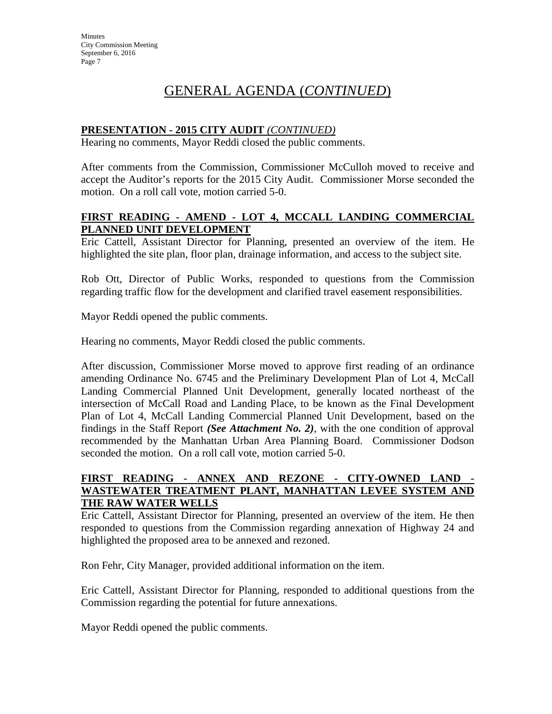# **PRESENTATION - 2015 CITY AUDIT** *(CONTINUED)*

Hearing no comments, Mayor Reddi closed the public comments.

After comments from the Commission, Commissioner McCulloh moved to receive and accept the Auditor's reports for the 2015 City Audit. Commissioner Morse seconded the motion. On a roll call vote, motion carried 5-0.

# **FIRST READING - AMEND - LOT 4, MCCALL LANDING COMMERCIAL PLANNED UNIT DEVELOPMENT**

Eric Cattell, Assistant Director for Planning, presented an overview of the item. He highlighted the site plan, floor plan, drainage information, and access to the subject site.

Rob Ott, Director of Public Works, responded to questions from the Commission regarding traffic flow for the development and clarified travel easement responsibilities.

Mayor Reddi opened the public comments.

Hearing no comments, Mayor Reddi closed the public comments.

After discussion, Commissioner Morse moved to approve first reading of an ordinance amending Ordinance No. 6745 and the Preliminary Development Plan of Lot 4, McCall Landing Commercial Planned Unit Development, generally located northeast of the intersection of McCall Road and Landing Place, to be known as the Final Development Plan of Lot 4, McCall Landing Commercial Planned Unit Development, based on the findings in the Staff Report *(See Attachment No. 2)*, with the one condition of approval recommended by the Manhattan Urban Area Planning Board. Commissioner Dodson seconded the motion. On a roll call vote, motion carried 5-0.

#### **FIRST READING - ANNEX AND REZONE - CITY-OWNED LAND - WASTEWATER TREATMENT PLANT, MANHATTAN LEVEE SYSTEM AND THE RAW WATER WELLS**

Eric Cattell, Assistant Director for Planning, presented an overview of the item. He then responded to questions from the Commission regarding annexation of Highway 24 and highlighted the proposed area to be annexed and rezoned.

Ron Fehr, City Manager, provided additional information on the item.

Eric Cattell, Assistant Director for Planning, responded to additional questions from the Commission regarding the potential for future annexations.

Mayor Reddi opened the public comments.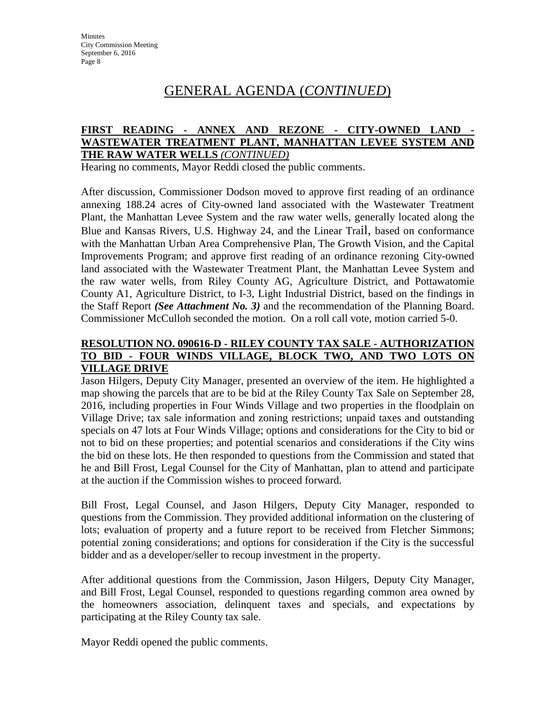#### **FIRST READING - ANNEX AND REZONE - CITY-OWNED LAND - WASTEWATER TREATMENT PLANT, MANHATTAN LEVEE SYSTEM AND THE RAW WATER WELLS** *(CONTINUED)*

Hearing no comments, Mayor Reddi closed the public comments.

After discussion, Commissioner Dodson moved to approve first reading of an ordinance annexing 188.24 acres of City-owned land associated with the Wastewater Treatment Plant, the Manhattan Levee System and the raw water wells, generally located along the Blue and Kansas Rivers, U.S. Highway 24, and the Linear Trail, based on conformance with the Manhattan Urban Area Comprehensive Plan, The Growth Vision, and the Capital Improvements Program; and approve first reading of an ordinance rezoning City-owned land associated with the Wastewater Treatment Plant, the Manhattan Levee System and the raw water wells, from Riley County AG, Agriculture District, and Pottawatomie County A1, Agriculture District, to I-3, Light Industrial District, based on the findings in the Staff Report *(See Attachment No. 3)* and the recommendation of the Planning Board. Commissioner McCulloh seconded the motion. On a roll call vote, motion carried 5-0.

### **RESOLUTION NO. 090616-D - RILEY COUNTY TAX SALE - AUTHORIZATION TO BID - FOUR WINDS VILLAGE, BLOCK TWO, AND TWO LOTS ON VILLAGE DRIVE**

Jason Hilgers, Deputy City Manager, presented an overview of the item. He highlighted a map showing the parcels that are to be bid at the Riley County Tax Sale on September 28, 2016, including properties in Four Winds Village and two properties in the floodplain on Village Drive; tax sale information and zoning restrictions; unpaid taxes and outstanding specials on 47 lots at Four Winds Village; options and considerations for the City to bid or not to bid on these properties; and potential scenarios and considerations if the City wins the bid on these lots. He then responded to questions from the Commission and stated that he and Bill Frost, Legal Counsel for the City of Manhattan, plan to attend and participate at the auction if the Commission wishes to proceed forward.

Bill Frost, Legal Counsel, and Jason Hilgers, Deputy City Manager, responded to questions from the Commission. They provided additional information on the clustering of lots; evaluation of property and a future report to be received from Fletcher Simmons; potential zoning considerations; and options for consideration if the City is the successful bidder and as a developer/seller to recoup investment in the property.

After additional questions from the Commission, Jason Hilgers, Deputy City Manager, and Bill Frost, Legal Counsel, responded to questions regarding common area owned by the homeowners association, delinquent taxes and specials, and expectations by participating at the Riley County tax sale.

Mayor Reddi opened the public comments.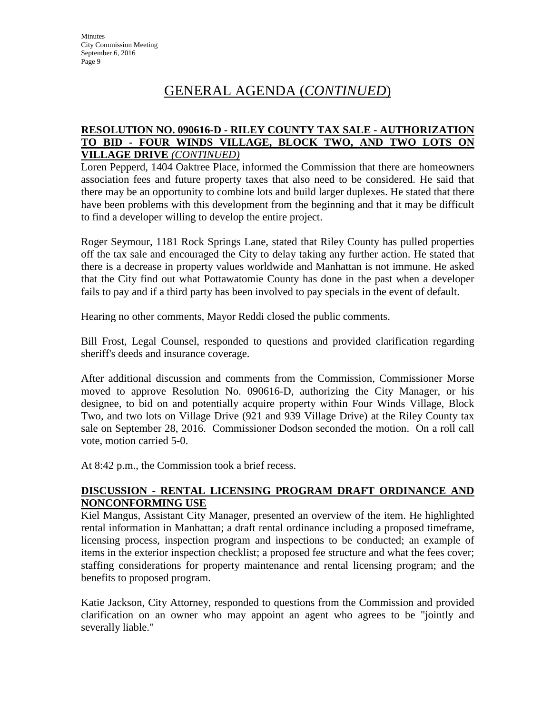### **RESOLUTION NO. 090616-D - RILEY COUNTY TAX SALE - AUTHORIZATION TO BID - FOUR WINDS VILLAGE, BLOCK TWO, AND TWO LOTS ON VILLAGE DRIVE** *(CONTINUED)*

Loren Pepperd, 1404 Oaktree Place, informed the Commission that there are homeowners association fees and future property taxes that also need to be considered. He said that there may be an opportunity to combine lots and build larger duplexes. He stated that there have been problems with this development from the beginning and that it may be difficult to find a developer willing to develop the entire project.

Roger Seymour, 1181 Rock Springs Lane, stated that Riley County has pulled properties off the tax sale and encouraged the City to delay taking any further action. He stated that there is a decrease in property values worldwide and Manhattan is not immune. He asked that the City find out what Pottawatomie County has done in the past when a developer fails to pay and if a third party has been involved to pay specials in the event of default.

Hearing no other comments, Mayor Reddi closed the public comments.

Bill Frost, Legal Counsel, responded to questions and provided clarification regarding sheriff's deeds and insurance coverage.

After additional discussion and comments from the Commission, Commissioner Morse moved to approve Resolution No. 090616-D, authorizing the City Manager, or his designee, to bid on and potentially acquire property within Four Winds Village, Block Two, and two lots on Village Drive (921 and 939 Village Drive) at the Riley County tax sale on September 28, 2016. Commissioner Dodson seconded the motion. On a roll call vote, motion carried 5-0.

At 8:42 p.m., the Commission took a brief recess.

# **DISCUSSION - RENTAL LICENSING PROGRAM DRAFT ORDINANCE AND NONCONFORMING USE**

Kiel Mangus, Assistant City Manager, presented an overview of the item. He highlighted rental information in Manhattan; a draft rental ordinance including a proposed timeframe, licensing process, inspection program and inspections to be conducted; an example of items in the exterior inspection checklist; a proposed fee structure and what the fees cover; staffing considerations for property maintenance and rental licensing program; and the benefits to proposed program.

Katie Jackson, City Attorney, responded to questions from the Commission and provided clarification on an owner who may appoint an agent who agrees to be "jointly and severally liable."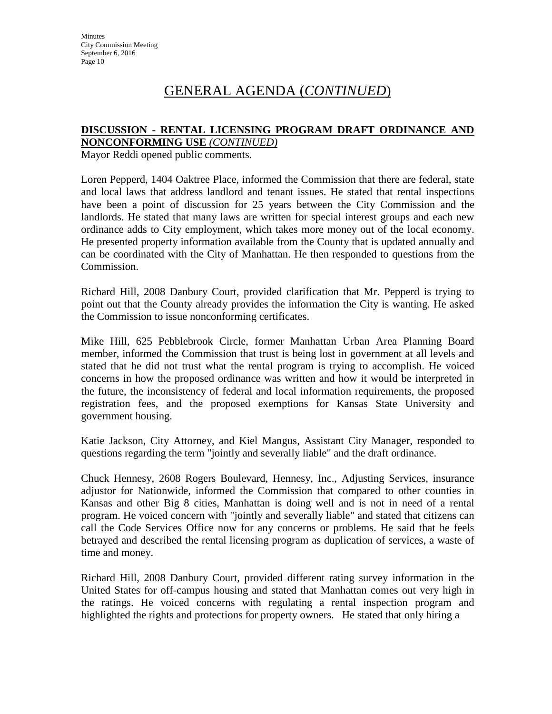#### **DISCUSSION - RENTAL LICENSING PROGRAM DRAFT ORDINANCE AND NONCONFORMING USE** *(CONTINUED)*

Mayor Reddi opened public comments.

Loren Pepperd, 1404 Oaktree Place, informed the Commission that there are federal, state and local laws that address landlord and tenant issues. He stated that rental inspections have been a point of discussion for 25 years between the City Commission and the landlords. He stated that many laws are written for special interest groups and each new ordinance adds to City employment, which takes more money out of the local economy. He presented property information available from the County that is updated annually and can be coordinated with the City of Manhattan. He then responded to questions from the Commission.

Richard Hill, 2008 Danbury Court, provided clarification that Mr. Pepperd is trying to point out that the County already provides the information the City is wanting. He asked the Commission to issue nonconforming certificates.

Mike Hill, 625 Pebblebrook Circle, former Manhattan Urban Area Planning Board member, informed the Commission that trust is being lost in government at all levels and stated that he did not trust what the rental program is trying to accomplish. He voiced concerns in how the proposed ordinance was written and how it would be interpreted in the future, the inconsistency of federal and local information requirements, the proposed registration fees, and the proposed exemptions for Kansas State University and government housing.

Katie Jackson, City Attorney, and Kiel Mangus, Assistant City Manager, responded to questions regarding the term "jointly and severally liable" and the draft ordinance.

Chuck Hennesy, 2608 Rogers Boulevard, Hennesy, Inc., Adjusting Services, insurance adjustor for Nationwide, informed the Commission that compared to other counties in Kansas and other Big 8 cities, Manhattan is doing well and is not in need of a rental program. He voiced concern with "jointly and severally liable" and stated that citizens can call the Code Services Office now for any concerns or problems. He said that he feels betrayed and described the rental licensing program as duplication of services, a waste of time and money.

Richard Hill, 2008 Danbury Court, provided different rating survey information in the United States for off-campus housing and stated that Manhattan comes out very high in the ratings. He voiced concerns with regulating a rental inspection program and highlighted the rights and protections for property owners. He stated that only hiring a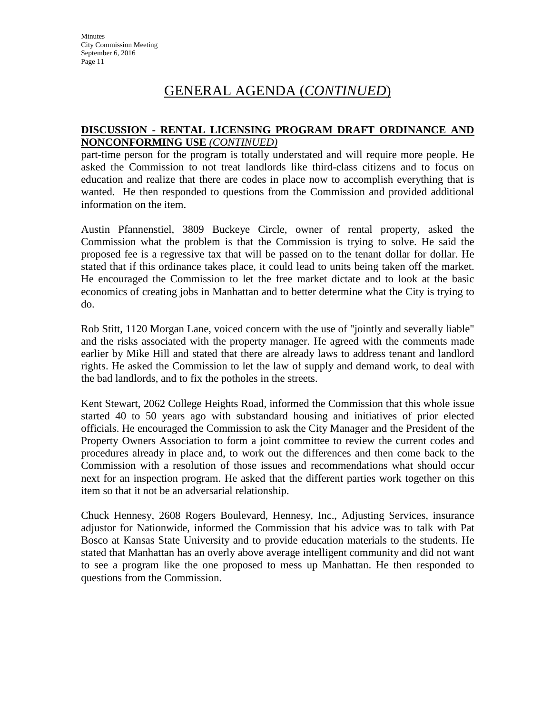#### **DISCUSSION - RENTAL LICENSING PROGRAM DRAFT ORDINANCE AND NONCONFORMING USE** *(CONTINUED)*

part-time person for the program is totally understated and will require more people. He asked the Commission to not treat landlords like third-class citizens and to focus on education and realize that there are codes in place now to accomplish everything that is wanted. He then responded to questions from the Commission and provided additional information on the item.

Austin Pfannenstiel, 3809 Buckeye Circle, owner of rental property, asked the Commission what the problem is that the Commission is trying to solve. He said the proposed fee is a regressive tax that will be passed on to the tenant dollar for dollar. He stated that if this ordinance takes place, it could lead to units being taken off the market. He encouraged the Commission to let the free market dictate and to look at the basic economics of creating jobs in Manhattan and to better determine what the City is trying to do.

Rob Stitt, 1120 Morgan Lane, voiced concern with the use of "jointly and severally liable" and the risks associated with the property manager. He agreed with the comments made earlier by Mike Hill and stated that there are already laws to address tenant and landlord rights. He asked the Commission to let the law of supply and demand work, to deal with the bad landlords, and to fix the potholes in the streets.

Kent Stewart, 2062 College Heights Road, informed the Commission that this whole issue started 40 to 50 years ago with substandard housing and initiatives of prior elected officials. He encouraged the Commission to ask the City Manager and the President of the Property Owners Association to form a joint committee to review the current codes and procedures already in place and, to work out the differences and then come back to the Commission with a resolution of those issues and recommendations what should occur next for an inspection program. He asked that the different parties work together on this item so that it not be an adversarial relationship.

Chuck Hennesy, 2608 Rogers Boulevard, Hennesy, Inc., Adjusting Services, insurance adjustor for Nationwide, informed the Commission that his advice was to talk with Pat Bosco at Kansas State University and to provide education materials to the students. He stated that Manhattan has an overly above average intelligent community and did not want to see a program like the one proposed to mess up Manhattan. He then responded to questions from the Commission.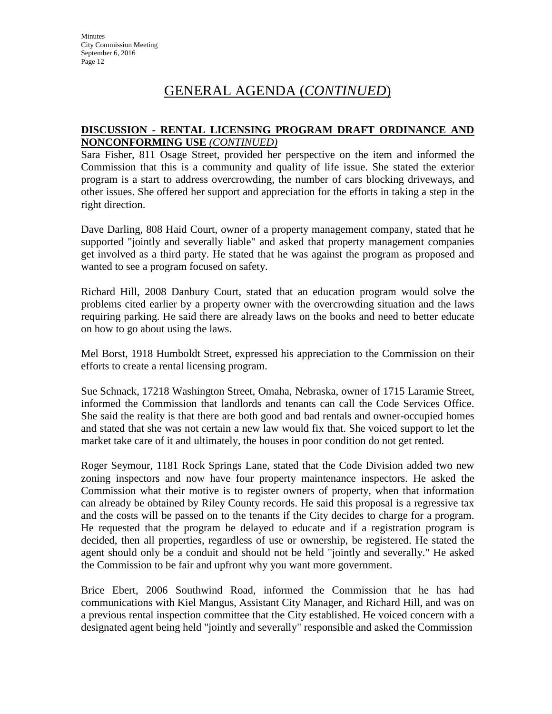### **DISCUSSION - RENTAL LICENSING PROGRAM DRAFT ORDINANCE AND NONCONFORMING USE** *(CONTINUED)*

Sara Fisher, 811 Osage Street, provided her perspective on the item and informed the Commission that this is a community and quality of life issue. She stated the exterior program is a start to address overcrowding, the number of cars blocking driveways, and other issues. She offered her support and appreciation for the efforts in taking a step in the right direction.

Dave Darling, 808 Haid Court, owner of a property management company, stated that he supported "jointly and severally liable" and asked that property management companies get involved as a third party. He stated that he was against the program as proposed and wanted to see a program focused on safety.

Richard Hill, 2008 Danbury Court, stated that an education program would solve the problems cited earlier by a property owner with the overcrowding situation and the laws requiring parking. He said there are already laws on the books and need to better educate on how to go about using the laws.

Mel Borst, 1918 Humboldt Street, expressed his appreciation to the Commission on their efforts to create a rental licensing program.

Sue Schnack, 17218 Washington Street, Omaha, Nebraska, owner of 1715 Laramie Street, informed the Commission that landlords and tenants can call the Code Services Office. She said the reality is that there are both good and bad rentals and owner-occupied homes and stated that she was not certain a new law would fix that. She voiced support to let the market take care of it and ultimately, the houses in poor condition do not get rented.

Roger Seymour, 1181 Rock Springs Lane, stated that the Code Division added two new zoning inspectors and now have four property maintenance inspectors. He asked the Commission what their motive is to register owners of property, when that information can already be obtained by Riley County records. He said this proposal is a regressive tax and the costs will be passed on to the tenants if the City decides to charge for a program. He requested that the program be delayed to educate and if a registration program is decided, then all properties, regardless of use or ownership, be registered. He stated the agent should only be a conduit and should not be held "jointly and severally." He asked the Commission to be fair and upfront why you want more government.

Brice Ebert, 2006 Southwind Road, informed the Commission that he has had communications with Kiel Mangus, Assistant City Manager, and Richard Hill, and was on a previous rental inspection committee that the City established. He voiced concern with a designated agent being held "jointly and severally" responsible and asked the Commission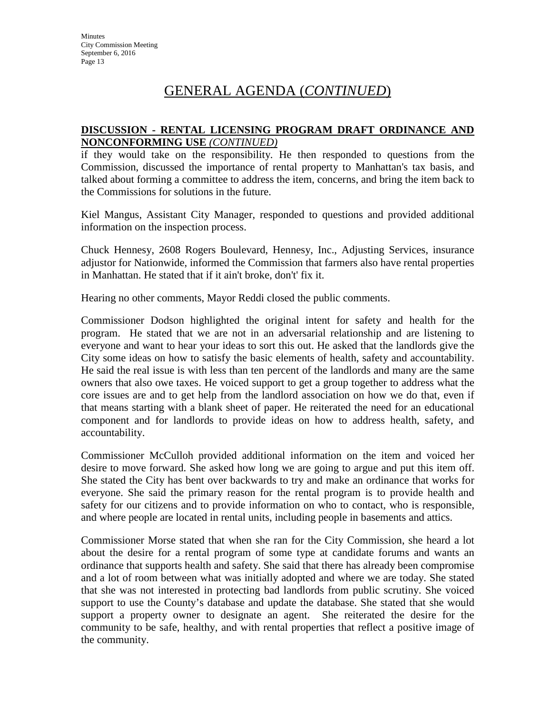#### **DISCUSSION - RENTAL LICENSING PROGRAM DRAFT ORDINANCE AND NONCONFORMING USE** *(CONTINUED)*

if they would take on the responsibility. He then responded to questions from the Commission, discussed the importance of rental property to Manhattan's tax basis, and talked about forming a committee to address the item, concerns, and bring the item back to the Commissions for solutions in the future.

Kiel Mangus, Assistant City Manager, responded to questions and provided additional information on the inspection process.

Chuck Hennesy, 2608 Rogers Boulevard, Hennesy, Inc., Adjusting Services, insurance adjustor for Nationwide, informed the Commission that farmers also have rental properties in Manhattan. He stated that if it ain't broke, don't' fix it.

Hearing no other comments, Mayor Reddi closed the public comments.

Commissioner Dodson highlighted the original intent for safety and health for the program. He stated that we are not in an adversarial relationship and are listening to everyone and want to hear your ideas to sort this out. He asked that the landlords give the City some ideas on how to satisfy the basic elements of health, safety and accountability. He said the real issue is with less than ten percent of the landlords and many are the same owners that also owe taxes. He voiced support to get a group together to address what the core issues are and to get help from the landlord association on how we do that, even if that means starting with a blank sheet of paper. He reiterated the need for an educational component and for landlords to provide ideas on how to address health, safety, and accountability.

Commissioner McCulloh provided additional information on the item and voiced her desire to move forward. She asked how long we are going to argue and put this item off. She stated the City has bent over backwards to try and make an ordinance that works for everyone. She said the primary reason for the rental program is to provide health and safety for our citizens and to provide information on who to contact, who is responsible, and where people are located in rental units, including people in basements and attics.

Commissioner Morse stated that when she ran for the City Commission, she heard a lot about the desire for a rental program of some type at candidate forums and wants an ordinance that supports health and safety. She said that there has already been compromise and a lot of room between what was initially adopted and where we are today. She stated that she was not interested in protecting bad landlords from public scrutiny. She voiced support to use the County's database and update the database. She stated that she would support a property owner to designate an agent. She reiterated the desire for the community to be safe, healthy, and with rental properties that reflect a positive image of the community.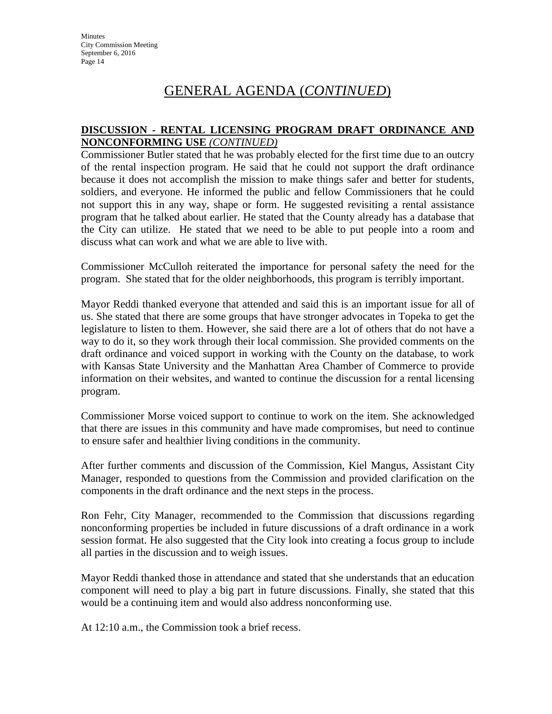### **DISCUSSION - RENTAL LICENSING PROGRAM DRAFT ORDINANCE AND NONCONFORMING USE** *(CONTINUED)*

Commissioner Butler stated that he was probably elected for the first time due to an outcry of the rental inspection program. He said that he could not support the draft ordinance because it does not accomplish the mission to make things safer and better for students, soldiers, and everyone. He informed the public and fellow Commissioners that he could not support this in any way, shape or form. He suggested revisiting a rental assistance program that he talked about earlier. He stated that the County already has a database that the City can utilize. He stated that we need to be able to put people into a room and discuss what can work and what we are able to live with.

Commissioner McCulloh reiterated the importance for personal safety the need for the program. She stated that for the older neighborhoods, this program is terribly important.

Mayor Reddi thanked everyone that attended and said this is an important issue for all of us. She stated that there are some groups that have stronger advocates in Topeka to get the legislature to listen to them. However, she said there are a lot of others that do not have a way to do it, so they work through their local commission. She provided comments on the draft ordinance and voiced support in working with the County on the database, to work with Kansas State University and the Manhattan Area Chamber of Commerce to provide information on their websites, and wanted to continue the discussion for a rental licensing program.

Commissioner Morse voiced support to continue to work on the item. She acknowledged that there are issues in this community and have made compromises, but need to continue to ensure safer and healthier living conditions in the community.

After further comments and discussion of the Commission, Kiel Mangus, Assistant City Manager, responded to questions from the Commission and provided clarification on the components in the draft ordinance and the next steps in the process.

Ron Fehr, City Manager, recommended to the Commission that discussions regarding nonconforming properties be included in future discussions of a draft ordinance in a work session format. He also suggested that the City look into creating a focus group to include all parties in the discussion and to weigh issues.

Mayor Reddi thanked those in attendance and stated that she understands that an education component will need to play a big part in future discussions. Finally, she stated that this would be a continuing item and would also address nonconforming use.

At 12:10 a.m., the Commission took a brief recess.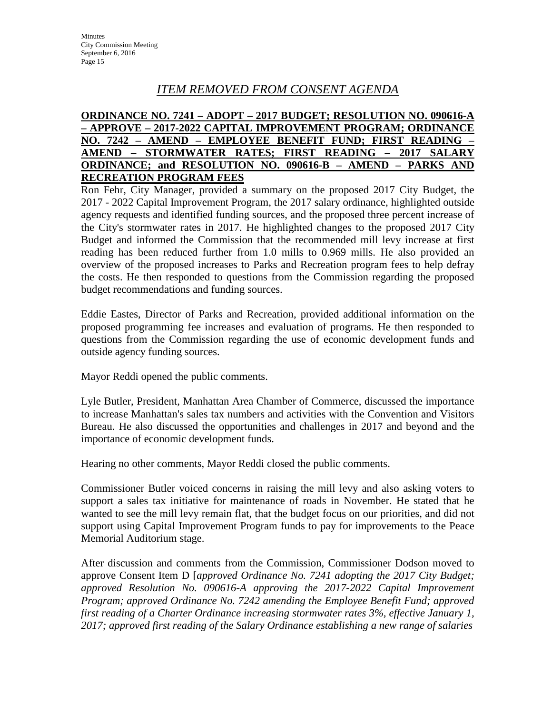# *ITEM REMOVED FROM CONSENT AGENDA*

# **ORDINANCE NO. 7241 – ADOPT – 2017 BUDGET; RESOLUTION NO. 090616-A – APPROVE – 2017-2022 CAPITAL IMPROVEMENT PROGRAM; ORDINANCE NO. 7242 – AMEND – EMPLOYEE BENEFIT FUND; FIRST READING – AMEND – STORMWATER RATES; FIRST READING – 2017 SALARY ORDINANCE; and RESOLUTION NO. 090616-B – AMEND – PARKS AND RECREATION PROGRAM FEES**

Ron Fehr, City Manager, provided a summary on the proposed 2017 City Budget, the 2017 - 2022 Capital Improvement Program, the 2017 salary ordinance, highlighted outside agency requests and identified funding sources, and the proposed three percent increase of the City's stormwater rates in 2017. He highlighted changes to the proposed 2017 City Budget and informed the Commission that the recommended mill levy increase at first reading has been reduced further from 1.0 mills to 0.969 mills. He also provided an overview of the proposed increases to Parks and Recreation program fees to help defray the costs. He then responded to questions from the Commission regarding the proposed budget recommendations and funding sources.

Eddie Eastes, Director of Parks and Recreation, provided additional information on the proposed programming fee increases and evaluation of programs. He then responded to questions from the Commission regarding the use of economic development funds and outside agency funding sources.

Mayor Reddi opened the public comments.

Lyle Butler, President, Manhattan Area Chamber of Commerce, discussed the importance to increase Manhattan's sales tax numbers and activities with the Convention and Visitors Bureau. He also discussed the opportunities and challenges in 2017 and beyond and the importance of economic development funds.

Hearing no other comments, Mayor Reddi closed the public comments.

Commissioner Butler voiced concerns in raising the mill levy and also asking voters to support a sales tax initiative for maintenance of roads in November. He stated that he wanted to see the mill levy remain flat, that the budget focus on our priorities, and did not support using Capital Improvement Program funds to pay for improvements to the Peace Memorial Auditorium stage.

After discussion and comments from the Commission, Commissioner Dodson moved to approve Consent Item D [*approved Ordinance No. 7241 adopting the 2017 City Budget; approved Resolution No. 090616-A approving the 2017-2022 Capital Improvement Program; approved Ordinance No. 7242 amending the Employee Benefit Fund; approved first reading of a Charter Ordinance increasing stormwater rates 3%, effective January 1, 2017; approved first reading of the Salary Ordinance establishing a new range of salaries*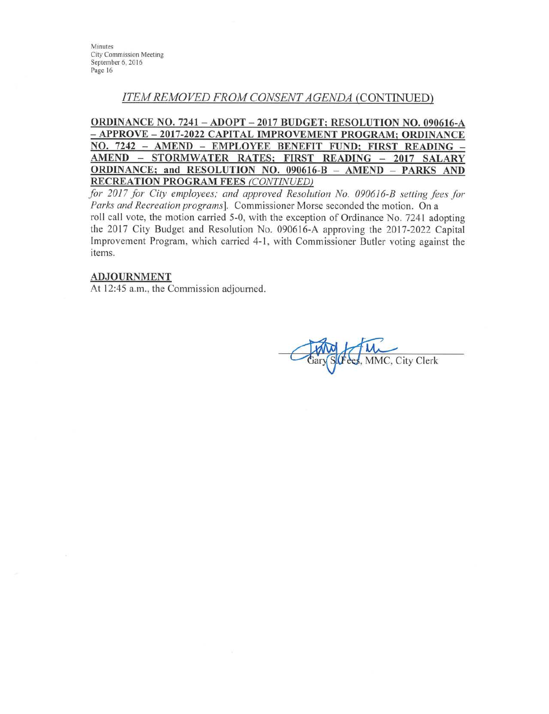Minutes **City Commission Meeting** September 6, 2016 Page 16

# **ITEM REMOVED FROM CONSENT AGENDA (CONTINUED)**

ORDINANCE NO. 7241 - ADOPT - 2017 BUDGET; RESOLUTION NO. 090616-A - APPROVE - 2017-2022 CAPITAL IMPROVEMENT PROGRAM; ORDINANCE NO. 7242 - AMEND - EMPLOYEE BENEFIT FUND; FIRST READING -AMEND - STORMWATER RATES; FIRST READING - 2017 SALARY ORDINANCE; and RESOLUTION NO. 090616-B - AMEND - PARKS AND **RECREATION PROGRAM FEES (CONTINUED)** 

for 2017 for City employees; and approved Resolution No. 090616-B setting fees for Parks and Recreation programs]. Commissioner Morse seconded the motion. On a roll call vote, the motion carried 5-0, with the exception of Ordinance No. 7241 adopting the 2017 City Budget and Resolution No. 090616-A approving the 2017-2022 Capital Improvement Program, which carried 4-1, with Commissioner Butler voting against the items.

#### **ADJOURNMENT**

At 12:45 a.m., the Commission adjourned.

MMC, City Clerk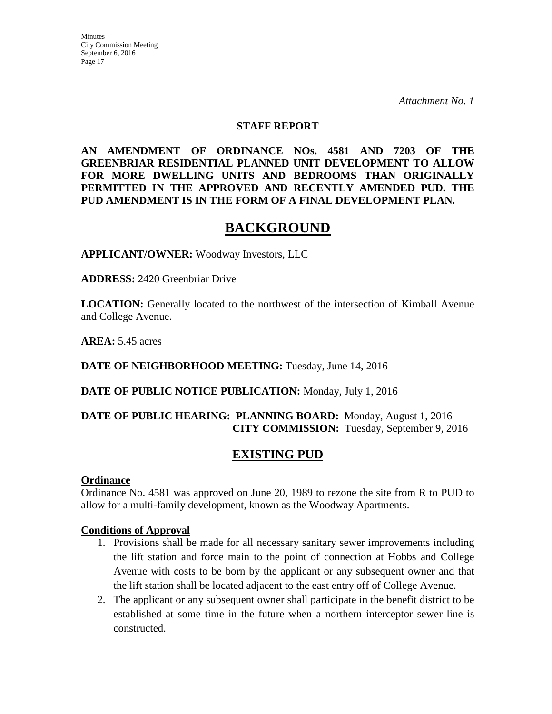### **STAFF REPORT**

**AN AMENDMENT OF ORDINANCE NOs. 4581 AND 7203 OF THE GREENBRIAR RESIDENTIAL PLANNED UNIT DEVELOPMENT TO ALLOW FOR MORE DWELLING UNITS AND BEDROOMS THAN ORIGINALLY PERMITTED IN THE APPROVED AND RECENTLY AMENDED PUD. THE PUD AMENDMENT IS IN THE FORM OF A FINAL DEVELOPMENT PLAN.**

# **BACKGROUND**

**APPLICANT/OWNER:** Woodway Investors, LLC

**ADDRESS:** 2420 Greenbriar Drive

**LOCATION:** Generally located to the northwest of the intersection of Kimball Avenue and College Avenue.

**AREA:** 5.45 acres

**DATE OF NEIGHBORHOOD MEETING:** Tuesday, June 14, 2016

**DATE OF PUBLIC NOTICE PUBLICATION:** Monday, July 1, 2016

# **DATE OF PUBLIC HEARING: PLANNING BOARD:** Monday, August 1, 2016 **CITY COMMISSION:** Tuesday, September 9, 2016

# **EXISTING PUD**

#### **Ordinance**

Ordinance No. 4581 was approved on June 20, 1989 to rezone the site from R to PUD to allow for a multi-family development, known as the Woodway Apartments.

#### **Conditions of Approval**

- 1. Provisions shall be made for all necessary sanitary sewer improvements including the lift station and force main to the point of connection at Hobbs and College Avenue with costs to be born by the applicant or any subsequent owner and that the lift station shall be located adjacent to the east entry off of College Avenue.
- 2. The applicant or any subsequent owner shall participate in the benefit district to be established at some time in the future when a northern interceptor sewer line is constructed.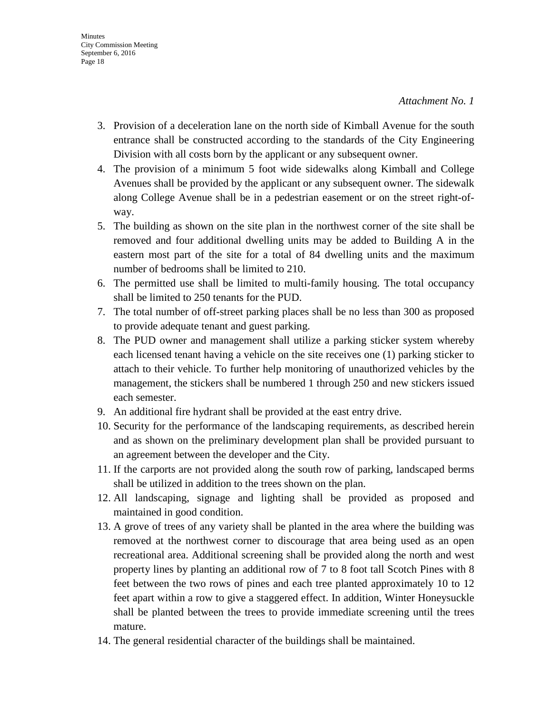- 3. Provision of a deceleration lane on the north side of Kimball Avenue for the south entrance shall be constructed according to the standards of the City Engineering Division with all costs born by the applicant or any subsequent owner.
- 4. The provision of a minimum 5 foot wide sidewalks along Kimball and College Avenues shall be provided by the applicant or any subsequent owner. The sidewalk along College Avenue shall be in a pedestrian easement or on the street right-ofway.
- 5. The building as shown on the site plan in the northwest corner of the site shall be removed and four additional dwelling units may be added to Building A in the eastern most part of the site for a total of 84 dwelling units and the maximum number of bedrooms shall be limited to 210.
- 6. The permitted use shall be limited to multi-family housing. The total occupancy shall be limited to 250 tenants for the PUD.
- 7. The total number of off-street parking places shall be no less than 300 as proposed to provide adequate tenant and guest parking.
- 8. The PUD owner and management shall utilize a parking sticker system whereby each licensed tenant having a vehicle on the site receives one (1) parking sticker to attach to their vehicle. To further help monitoring of unauthorized vehicles by the management, the stickers shall be numbered 1 through 250 and new stickers issued each semester.
- 9. An additional fire hydrant shall be provided at the east entry drive.
- 10. Security for the performance of the landscaping requirements, as described herein and as shown on the preliminary development plan shall be provided pursuant to an agreement between the developer and the City.
- 11. If the carports are not provided along the south row of parking, landscaped berms shall be utilized in addition to the trees shown on the plan.
- 12. All landscaping, signage and lighting shall be provided as proposed and maintained in good condition.
- 13. A grove of trees of any variety shall be planted in the area where the building was removed at the northwest corner to discourage that area being used as an open recreational area. Additional screening shall be provided along the north and west property lines by planting an additional row of 7 to 8 foot tall Scotch Pines with 8 feet between the two rows of pines and each tree planted approximately 10 to 12 feet apart within a row to give a staggered effect. In addition, Winter Honeysuckle shall be planted between the trees to provide immediate screening until the trees mature.
- 14. The general residential character of the buildings shall be maintained.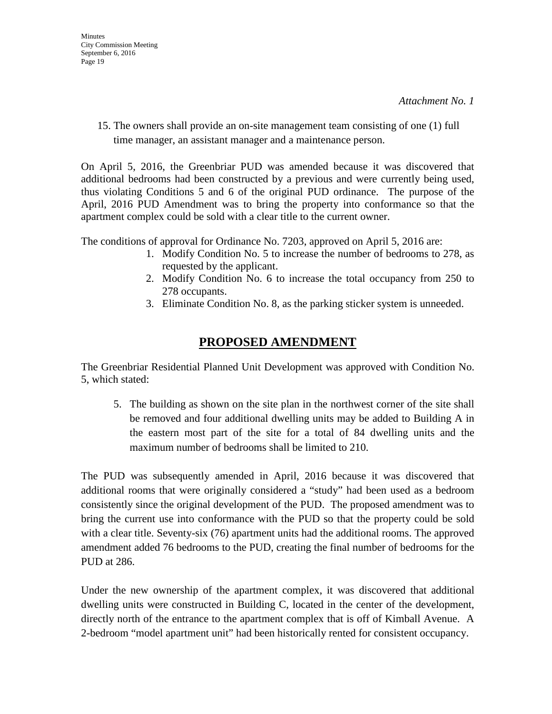15. The owners shall provide an on-site management team consisting of one (1) full time manager, an assistant manager and a maintenance person.

On April 5, 2016, the Greenbriar PUD was amended because it was discovered that additional bedrooms had been constructed by a previous and were currently being used, thus violating Conditions 5 and 6 of the original PUD ordinance. The purpose of the April, 2016 PUD Amendment was to bring the property into conformance so that the apartment complex could be sold with a clear title to the current owner.

The conditions of approval for Ordinance No. 7203, approved on April 5, 2016 are:

- 1. Modify Condition No. 5 to increase the number of bedrooms to 278, as requested by the applicant.
- 2. Modify Condition No. 6 to increase the total occupancy from 250 to 278 occupants.
- 3. Eliminate Condition No. 8, as the parking sticker system is unneeded.

# **PROPOSED AMENDMENT**

The Greenbriar Residential Planned Unit Development was approved with Condition No. 5, which stated:

5. The building as shown on the site plan in the northwest corner of the site shall be removed and four additional dwelling units may be added to Building A in the eastern most part of the site for a total of 84 dwelling units and the maximum number of bedrooms shall be limited to 210.

The PUD was subsequently amended in April, 2016 because it was discovered that additional rooms that were originally considered a "study" had been used as a bedroom consistently since the original development of the PUD. The proposed amendment was to bring the current use into conformance with the PUD so that the property could be sold with a clear title. Seventy-six (76) apartment units had the additional rooms. The approved amendment added 76 bedrooms to the PUD, creating the final number of bedrooms for the PUD at 286.

Under the new ownership of the apartment complex, it was discovered that additional dwelling units were constructed in Building C, located in the center of the development, directly north of the entrance to the apartment complex that is off of Kimball Avenue. A 2-bedroom "model apartment unit" had been historically rented for consistent occupancy.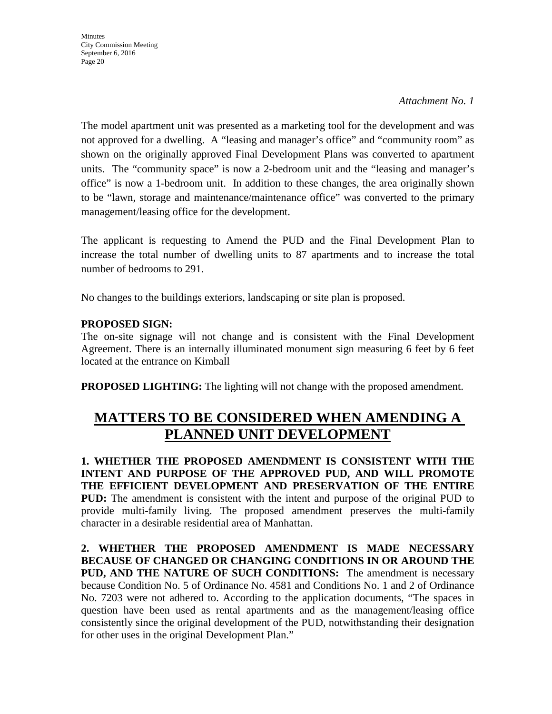**Minutes** City Commission Meeting September 6, 2016 Page 20

#### *Attachment No. 1*

The model apartment unit was presented as a marketing tool for the development and was not approved for a dwelling. A "leasing and manager's office" and "community room" as shown on the originally approved Final Development Plans was converted to apartment units. The "community space" is now a 2-bedroom unit and the "leasing and manager's office" is now a 1-bedroom unit. In addition to these changes, the area originally shown to be "lawn, storage and maintenance/maintenance office" was converted to the primary management/leasing office for the development.

The applicant is requesting to Amend the PUD and the Final Development Plan to increase the total number of dwelling units to 87 apartments and to increase the total number of bedrooms to 291.

No changes to the buildings exteriors, landscaping or site plan is proposed.

# **PROPOSED SIGN:**

The on-site signage will not change and is consistent with the Final Development Agreement. There is an internally illuminated monument sign measuring 6 feet by 6 feet located at the entrance on Kimball

**PROPOSED LIGHTING:** The lighting will not change with the proposed amendment.

# **MATTERS TO BE CONSIDERED WHEN AMENDING A PLANNED UNIT DEVELOPMENT**

**1. WHETHER THE PROPOSED AMENDMENT IS CONSISTENT WITH THE INTENT AND PURPOSE OF THE APPROVED PUD, AND WILL PROMOTE THE EFFICIENT DEVELOPMENT AND PRESERVATION OF THE ENTIRE PUD:** The amendment is consistent with the intent and purpose of the original PUD to provide multi-family living. The proposed amendment preserves the multi-family character in a desirable residential area of Manhattan.

**2. WHETHER THE PROPOSED AMENDMENT IS MADE NECESSARY BECAUSE OF CHANGED OR CHANGING CONDITIONS IN OR AROUND THE PUD, AND THE NATURE OF SUCH CONDITIONS:** The amendment is necessary because Condition No. 5 of Ordinance No. 4581 and Conditions No. 1 and 2 of Ordinance No. 7203 were not adhered to. According to the application documents, "The spaces in question have been used as rental apartments and as the management/leasing office consistently since the original development of the PUD, notwithstanding their designation for other uses in the original Development Plan."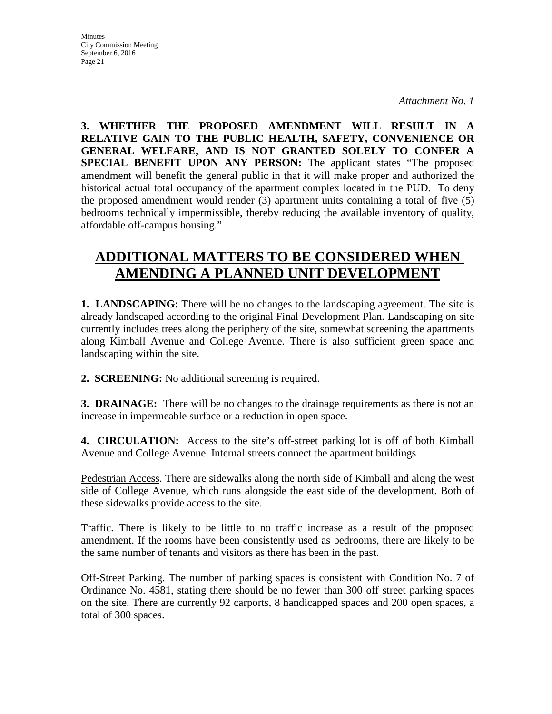**3. WHETHER THE PROPOSED AMENDMENT WILL RESULT IN A RELATIVE GAIN TO THE PUBLIC HEALTH, SAFETY, CONVENIENCE OR GENERAL WELFARE, AND IS NOT GRANTED SOLELY TO CONFER A SPECIAL BENEFIT UPON ANY PERSON:** The applicant states "The proposed amendment will benefit the general public in that it will make proper and authorized the historical actual total occupancy of the apartment complex located in the PUD. To deny the proposed amendment would render (3) apartment units containing a total of five (5) bedrooms technically impermissible, thereby reducing the available inventory of quality, affordable off-campus housing."

# **ADDITIONAL MATTERS TO BE CONSIDERED WHEN AMENDING A PLANNED UNIT DEVELOPMENT**

**1. LANDSCAPING:** There will be no changes to the landscaping agreement. The site is already landscaped according to the original Final Development Plan. Landscaping on site currently includes trees along the periphery of the site, somewhat screening the apartments along Kimball Avenue and College Avenue. There is also sufficient green space and landscaping within the site.

**2. SCREENING:** No additional screening is required.

**3. DRAINAGE:** There will be no changes to the drainage requirements as there is not an increase in impermeable surface or a reduction in open space.

**4. CIRCULATION:** Access to the site's off-street parking lot is off of both Kimball Avenue and College Avenue. Internal streets connect the apartment buildings

Pedestrian Access. There are sidewalks along the north side of Kimball and along the west side of College Avenue, which runs alongside the east side of the development. Both of these sidewalks provide access to the site.

Traffic. There is likely to be little to no traffic increase as a result of the proposed amendment. If the rooms have been consistently used as bedrooms, there are likely to be the same number of tenants and visitors as there has been in the past.

Off-Street Parking. The number of parking spaces is consistent with Condition No. 7 of Ordinance No. 4581, stating there should be no fewer than 300 off street parking spaces on the site. There are currently 92 carports, 8 handicapped spaces and 200 open spaces, a total of 300 spaces.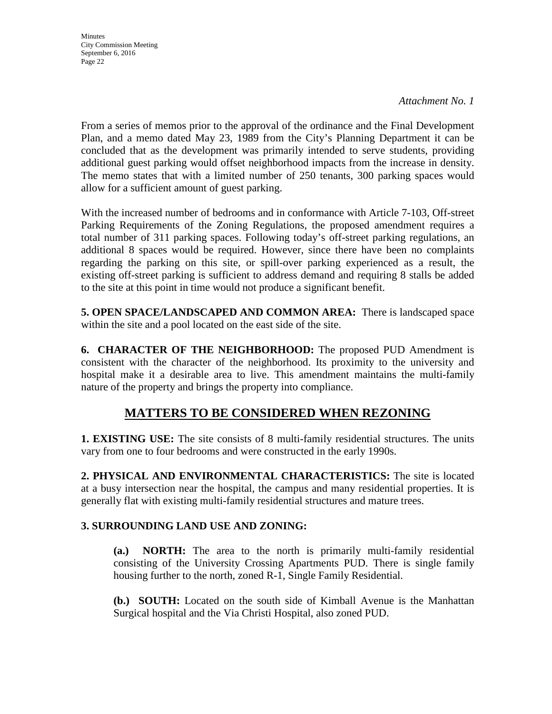**Minutes** City Commission Meeting September 6, 2016 Page 22

*Attachment No. 1*

From a series of memos prior to the approval of the ordinance and the Final Development Plan, and a memo dated May 23, 1989 from the City's Planning Department it can be concluded that as the development was primarily intended to serve students, providing additional guest parking would offset neighborhood impacts from the increase in density. The memo states that with a limited number of 250 tenants, 300 parking spaces would allow for a sufficient amount of guest parking.

With the increased number of bedrooms and in conformance with Article 7-103, Off-street Parking Requirements of the Zoning Regulations, the proposed amendment requires a total number of 311 parking spaces. Following today's off-street parking regulations, an additional 8 spaces would be required. However, since there have been no complaints regarding the parking on this site, or spill-over parking experienced as a result, the existing off-street parking is sufficient to address demand and requiring 8 stalls be added to the site at this point in time would not produce a significant benefit.

**5. OPEN SPACE/LANDSCAPED AND COMMON AREA:** There is landscaped space within the site and a pool located on the east side of the site.

**6. CHARACTER OF THE NEIGHBORHOOD:** The proposed PUD Amendment is consistent with the character of the neighborhood. Its proximity to the university and hospital make it a desirable area to live. This amendment maintains the multi-family nature of the property and brings the property into compliance.

# **MATTERS TO BE CONSIDERED WHEN REZONING**

**1. EXISTING USE:** The site consists of 8 multi-family residential structures. The units vary from one to four bedrooms and were constructed in the early 1990s.

**2. PHYSICAL AND ENVIRONMENTAL CHARACTERISTICS:** The site is located at a busy intersection near the hospital, the campus and many residential properties. It is generally flat with existing multi-family residential structures and mature trees.

# **3. SURROUNDING LAND USE AND ZONING:**

**(a.) NORTH:** The area to the north is primarily multi-family residential consisting of the University Crossing Apartments PUD. There is single family housing further to the north, zoned R-1, Single Family Residential.

**(b.) SOUTH:** Located on the south side of Kimball Avenue is the Manhattan Surgical hospital and the Via Christi Hospital, also zoned PUD.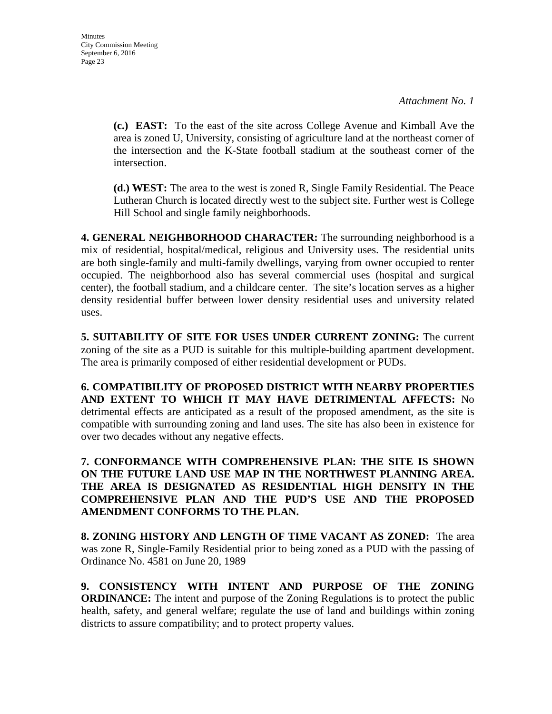**(c.) EAST:** To the east of the site across College Avenue and Kimball Ave the area is zoned U, University, consisting of agriculture land at the northeast corner of the intersection and the K-State football stadium at the southeast corner of the intersection.

**(d.) WEST:** The area to the west is zoned R, Single Family Residential. The Peace Lutheran Church is located directly west to the subject site. Further west is College Hill School and single family neighborhoods.

**4. GENERAL NEIGHBORHOOD CHARACTER:** The surrounding neighborhood is a mix of residential, hospital/medical, religious and University uses. The residential units are both single-family and multi-family dwellings, varying from owner occupied to renter occupied. The neighborhood also has several commercial uses (hospital and surgical center), the football stadium, and a childcare center. The site's location serves as a higher density residential buffer between lower density residential uses and university related uses.

**5. SUITABILITY OF SITE FOR USES UNDER CURRENT ZONING:** The current zoning of the site as a PUD is suitable for this multiple-building apartment development. The area is primarily composed of either residential development or PUDs.

**6. COMPATIBILITY OF PROPOSED DISTRICT WITH NEARBY PROPERTIES AND EXTENT TO WHICH IT MAY HAVE DETRIMENTAL AFFECTS:** No detrimental effects are anticipated as a result of the proposed amendment, as the site is compatible with surrounding zoning and land uses. The site has also been in existence for over two decades without any negative effects.

**7. CONFORMANCE WITH COMPREHENSIVE PLAN: THE SITE IS SHOWN ON THE FUTURE LAND USE MAP IN THE NORTHWEST PLANNING AREA. THE AREA IS DESIGNATED AS RESIDENTIAL HIGH DENSITY IN THE COMPREHENSIVE PLAN AND THE PUD'S USE AND THE PROPOSED AMENDMENT CONFORMS TO THE PLAN.**

**8. ZONING HISTORY AND LENGTH OF TIME VACANT AS ZONED:** The area was zone R, Single-Family Residential prior to being zoned as a PUD with the passing of Ordinance No. 4581 on June 20, 1989

**9. CONSISTENCY WITH INTENT AND PURPOSE OF THE ZONING ORDINANCE:** The intent and purpose of the Zoning Regulations is to protect the public health, safety, and general welfare; regulate the use of land and buildings within zoning districts to assure compatibility; and to protect property values.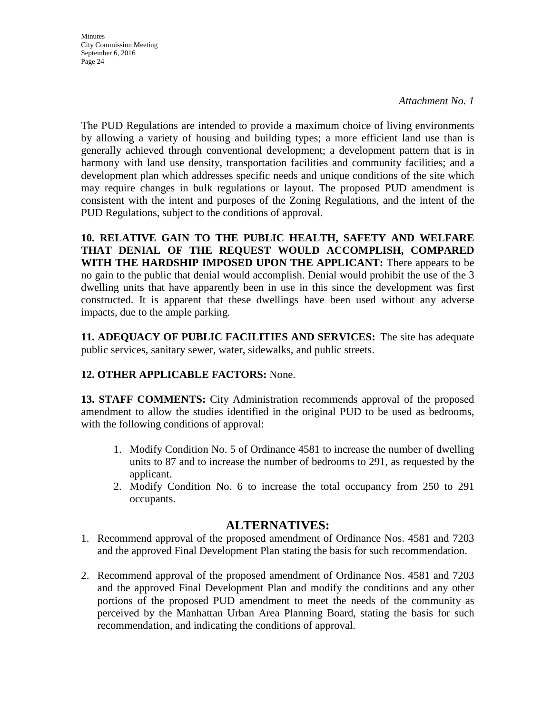**Minutes** City Commission Meeting September 6, 2016 Page 24

The PUD Regulations are intended to provide a maximum choice of living environments by allowing a variety of housing and building types; a more efficient land use than is generally achieved through conventional development; a development pattern that is in harmony with land use density, transportation facilities and community facilities; and a development plan which addresses specific needs and unique conditions of the site which may require changes in bulk regulations or layout. The proposed PUD amendment is consistent with the intent and purposes of the Zoning Regulations, and the intent of the PUD Regulations, subject to the conditions of approval.

**10. RELATIVE GAIN TO THE PUBLIC HEALTH, SAFETY AND WELFARE THAT DENIAL OF THE REQUEST WOULD ACCOMPLISH, COMPARED WITH THE HARDSHIP IMPOSED UPON THE APPLICANT:** There appears to be no gain to the public that denial would accomplish. Denial would prohibit the use of the 3 dwelling units that have apparently been in use in this since the development was first constructed. It is apparent that these dwellings have been used without any adverse impacts, due to the ample parking.

**11. ADEQUACY OF PUBLIC FACILITIES AND SERVICES:** The site has adequate public services, sanitary sewer, water, sidewalks, and public streets.

# **12. OTHER APPLICABLE FACTORS:** None.

**13. STAFF COMMENTS:** City Administration recommends approval of the proposed amendment to allow the studies identified in the original PUD to be used as bedrooms, with the following conditions of approval:

- 1. Modify Condition No. 5 of Ordinance 4581 to increase the number of dwelling units to 87 and to increase the number of bedrooms to 291, as requested by the applicant.
- 2. Modify Condition No. 6 to increase the total occupancy from 250 to 291 occupants.

# **ALTERNATIVES:**

- 1. Recommend approval of the proposed amendment of Ordinance Nos. 4581 and 7203 and the approved Final Development Plan stating the basis for such recommendation.
- 2. Recommend approval of the proposed amendment of Ordinance Nos. 4581 and 7203 and the approved Final Development Plan and modify the conditions and any other portions of the proposed PUD amendment to meet the needs of the community as perceived by the Manhattan Urban Area Planning Board, stating the basis for such recommendation, and indicating the conditions of approval.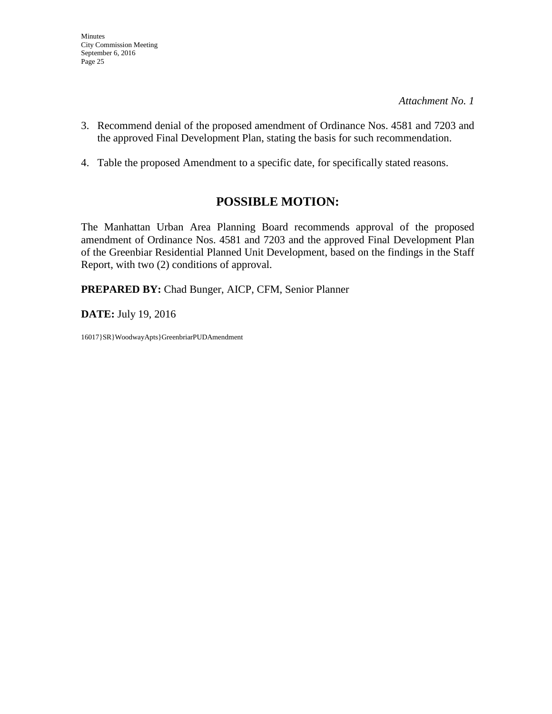- 3. Recommend denial of the proposed amendment of Ordinance Nos. 4581 and 7203 and the approved Final Development Plan, stating the basis for such recommendation.
- 4. Table the proposed Amendment to a specific date, for specifically stated reasons.

# **POSSIBLE MOTION:**

The Manhattan Urban Area Planning Board recommends approval of the proposed amendment of Ordinance Nos. 4581 and 7203 and the approved Final Development Plan of the Greenbiar Residential Planned Unit Development, based on the findings in the Staff Report, with two (2) conditions of approval.

**PREPARED BY:** Chad Bunger, AICP, CFM, Senior Planner

**DATE:** July 19, 2016

16017}SR}WoodwayApts}GreenbriarPUDAmendment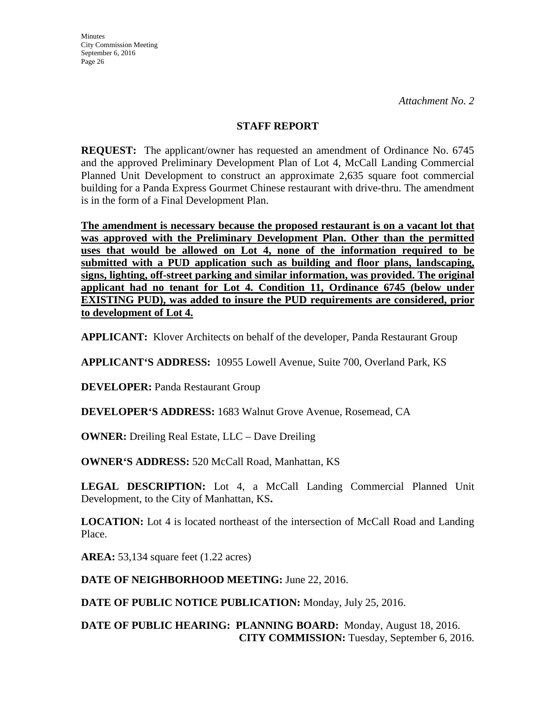### **STAFF REPORT**

**REQUEST:** The applicant/owner has requested an amendment of Ordinance No. 6745 and the approved Preliminary Development Plan of Lot 4, McCall Landing Commercial Planned Unit Development to construct an approximate 2,635 square foot commercial building for a Panda Express Gourmet Chinese restaurant with drive-thru. The amendment is in the form of a Final Development Plan.

**The amendment is necessary because the proposed restaurant is on a vacant lot that was approved with the Preliminary Development Plan. Other than the permitted uses that would be allowed on Lot 4, none of the information required to be submitted with a PUD application such as building and floor plans, landscaping, signs, lighting, off-street parking and similar information, was provided. The original applicant had no tenant for Lot 4. Condition 11, Ordinance 6745 (below under EXISTING PUD), was added to insure the PUD requirements are considered, prior to development of Lot 4.**

**APPLICANT:** Klover Architects on behalf of the developer, Panda Restaurant Group

**APPLICANT'S ADDRESS:** 10955 Lowell Avenue, Suite 700, Overland Park, KS

**DEVELOPER: Panda Restaurant Group** 

**DEVELOPER'S ADDRESS:** 1683 Walnut Grove Avenue, Rosemead, CA

**OWNER:** Dreiling Real Estate, LLC – Dave Dreiling

**OWNER'S ADDRESS:** 520 McCall Road, Manhattan, KS

LEGAL DESCRIPTION: Lot 4, a McCall Landing Commercial Planned Unit Development, to the City of Manhattan, KS**.** 

**LOCATION:** Lot 4 is located northeast of the intersection of McCall Road and Landing Place.

**AREA:** 53,134 square feet (1.22 acres)

**DATE OF NEIGHBORHOOD MEETING:** June 22, 2016.

**DATE OF PUBLIC NOTICE PUBLICATION:** Monday, July 25, 2016.

**DATE OF PUBLIC HEARING: PLANNING BOARD:** Monday, August 18, 2016. **CITY COMMISSION:** Tuesday, September 6, 2016.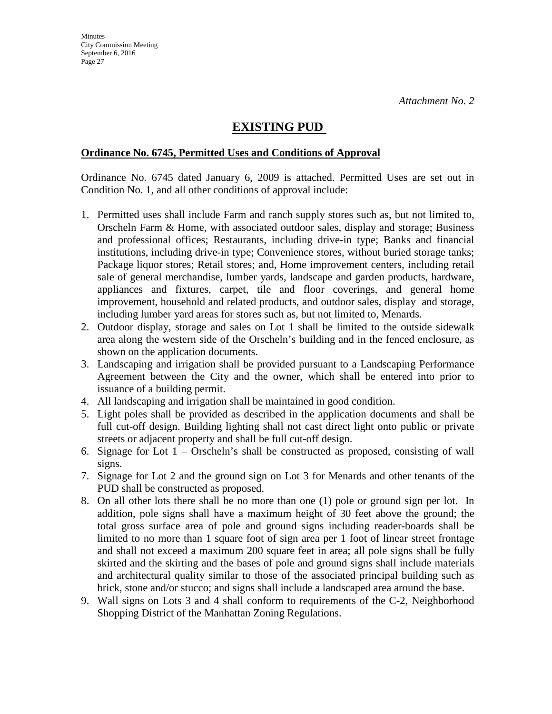# **EXISTING PUD**

#### **Ordinance No. 6745, Permitted Uses and Conditions of Approval**

Ordinance No. 6745 dated January 6, 2009 is attached. Permitted Uses are set out in Condition No. 1, and all other conditions of approval include:

- 1. Permitted uses shall include Farm and ranch supply stores such as, but not limited to, Orscheln Farm & Home, with associated outdoor sales, display and storage; Business and professional offices; Restaurants, including drive-in type; Banks and financial institutions, including drive-in type; Convenience stores, without buried storage tanks; Package liquor stores; Retail stores; and, Home improvement centers, including retail sale of general merchandise, lumber yards, landscape and garden products, hardware, appliances and fixtures, carpet, tile and floor coverings, and general home improvement, household and related products, and outdoor sales, display and storage, including lumber yard areas for stores such as, but not limited to, Menards.
- 2. Outdoor display, storage and sales on Lot 1 shall be limited to the outside sidewalk area along the western side of the Orscheln's building and in the fenced enclosure, as shown on the application documents.
- 3. Landscaping and irrigation shall be provided pursuant to a Landscaping Performance Agreement between the City and the owner, which shall be entered into prior to issuance of a building permit.
- 4. All landscaping and irrigation shall be maintained in good condition.
- 5. Light poles shall be provided as described in the application documents and shall be full cut-off design. Building lighting shall not cast direct light onto public or private streets or adjacent property and shall be full cut-off design.
- 6. Signage for Lot 1 Orscheln's shall be constructed as proposed, consisting of wall signs.
- 7. Signage for Lot 2 and the ground sign on Lot 3 for Menards and other tenants of the PUD shall be constructed as proposed.
- 8. On all other lots there shall be no more than one (1) pole or ground sign per lot. In addition, pole signs shall have a maximum height of 30 feet above the ground; the total gross surface area of pole and ground signs including reader-boards shall be limited to no more than 1 square foot of sign area per 1 foot of linear street frontage and shall not exceed a maximum 200 square feet in area; all pole signs shall be fully skirted and the skirting and the bases of pole and ground signs shall include materials and architectural quality similar to those of the associated principal building such as brick, stone and/or stucco; and signs shall include a landscaped area around the base.
- 9. Wall signs on Lots 3 and 4 shall conform to requirements of the C-2, Neighborhood Shopping District of the Manhattan Zoning Regulations.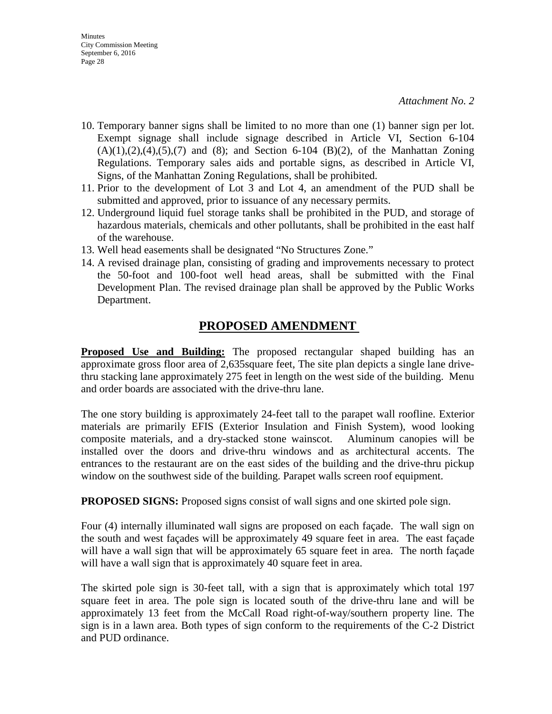- 10. Temporary banner signs shall be limited to no more than one (1) banner sign per lot. Exempt signage shall include signage described in Article VI, Section 6-104  $(A)(1),(2),(4),(5),(7)$  and  $(8)$ ; and Section 6-104  $(B)(2)$ , of the Manhattan Zoning Regulations. Temporary sales aids and portable signs, as described in Article VI, Signs, of the Manhattan Zoning Regulations, shall be prohibited.
- 11. Prior to the development of Lot 3 and Lot 4, an amendment of the PUD shall be submitted and approved, prior to issuance of any necessary permits.
- 12. Underground liquid fuel storage tanks shall be prohibited in the PUD, and storage of hazardous materials, chemicals and other pollutants, shall be prohibited in the east half of the warehouse.
- 13. Well head easements shall be designated "No Structures Zone."
- 14. A revised drainage plan, consisting of grading and improvements necessary to protect the 50-foot and 100-foot well head areas, shall be submitted with the Final Development Plan. The revised drainage plan shall be approved by the Public Works Department.

# **PROPOSED AMENDMENT**

**Proposed Use and Building:** The proposed rectangular shaped building has an approximate gross floor area of 2,635square feet, The site plan depicts a single lane drivethru stacking lane approximately 275 feet in length on the west side of the building. Menu and order boards are associated with the drive-thru lane.

The one story building is approximately 24-feet tall to the parapet wall roofline. Exterior materials are primarily EFIS (Exterior Insulation and Finish System), wood looking composite materials, and a dry-stacked stone wainscot. Aluminum canopies will be installed over the doors and drive-thru windows and as architectural accents. The entrances to the restaurant are on the east sides of the building and the drive-thru pickup window on the southwest side of the building. Parapet walls screen roof equipment.

**PROPOSED SIGNS:** Proposed signs consist of wall signs and one skirted pole sign.

Four (4) internally illuminated wall signs are proposed on each façade. The wall sign on the south and west façades will be approximately 49 square feet in area. The east façade will have a wall sign that will be approximately 65 square feet in area. The north façade will have a wall sign that is approximately 40 square feet in area.

The skirted pole sign is 30-feet tall, with a sign that is approximately which total 197 square feet in area. The pole sign is located south of the drive-thru lane and will be approximately 13 feet from the McCall Road right-of-way/southern property line. The sign is in a lawn area. Both types of sign conform to the requirements of the C-2 District and PUD ordinance.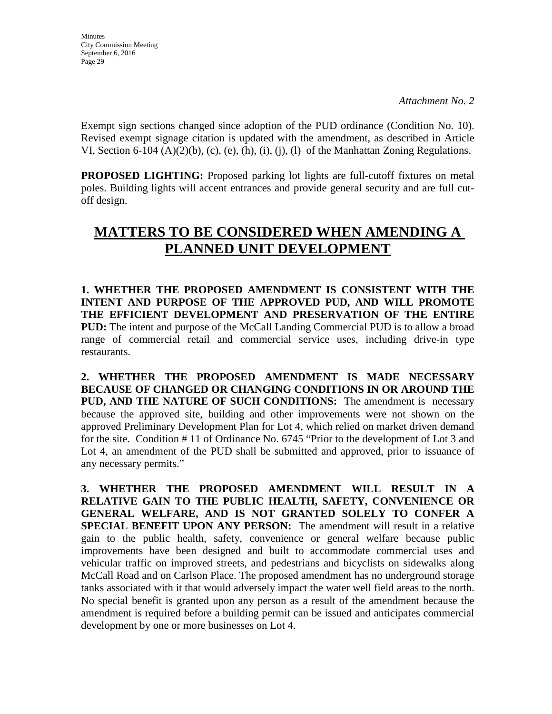**Minutes** City Commission Meeting September 6, 2016 Page 29

Exempt sign sections changed since adoption of the PUD ordinance (Condition No. 10). Revised exempt signage citation is updated with the amendment, as described in Article VI, Section 6-104 (A)(2)(b), (c), (e), (h), (i), (j), (l) of the Manhattan Zoning Regulations.

**PROPOSED LIGHTING:** Proposed parking lot lights are full-cutoff fixtures on metal poles. Building lights will accent entrances and provide general security and are full cutoff design.

# **MATTERS TO BE CONSIDERED WHEN AMENDING A PLANNED UNIT DEVELOPMENT**

**1. WHETHER THE PROPOSED AMENDMENT IS CONSISTENT WITH THE INTENT AND PURPOSE OF THE APPROVED PUD, AND WILL PROMOTE THE EFFICIENT DEVELOPMENT AND PRESERVATION OF THE ENTIRE PUD:** The intent and purpose of the McCall Landing Commercial PUD is to allow a broad range of commercial retail and commercial service uses, including drive-in type restaurants.

**2. WHETHER THE PROPOSED AMENDMENT IS MADE NECESSARY BECAUSE OF CHANGED OR CHANGING CONDITIONS IN OR AROUND THE PUD, AND THE NATURE OF SUCH CONDITIONS:** The amendment is necessary because the approved site, building and other improvements were not shown on the approved Preliminary Development Plan for Lot 4, which relied on market driven demand for the site. Condition # 11 of Ordinance No. 6745 "Prior to the development of Lot 3 and Lot 4, an amendment of the PUD shall be submitted and approved, prior to issuance of any necessary permits."

**3. WHETHER THE PROPOSED AMENDMENT WILL RESULT IN A RELATIVE GAIN TO THE PUBLIC HEALTH, SAFETY, CONVENIENCE OR GENERAL WELFARE, AND IS NOT GRANTED SOLELY TO CONFER A SPECIAL BENEFIT UPON ANY PERSON:** The amendment will result in a relative gain to the public health, safety, convenience or general welfare because public improvements have been designed and built to accommodate commercial uses and vehicular traffic on improved streets, and pedestrians and bicyclists on sidewalks along McCall Road and on Carlson Place. The proposed amendment has no underground storage tanks associated with it that would adversely impact the water well field areas to the north. No special benefit is granted upon any person as a result of the amendment because the amendment is required before a building permit can be issued and anticipates commercial development by one or more businesses on Lot 4.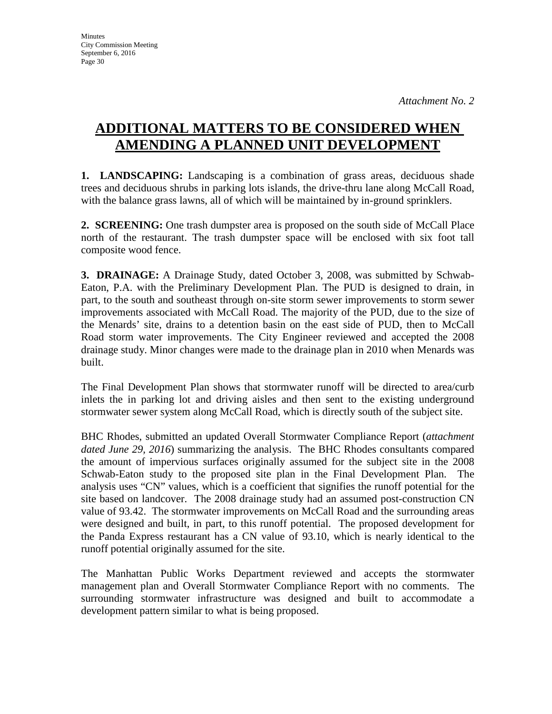# **ADDITIONAL MATTERS TO BE CONSIDERED WHEN AMENDING A PLANNED UNIT DEVELOPMENT**

**1. LANDSCAPING:** Landscaping is a combination of grass areas, deciduous shade trees and deciduous shrubs in parking lots islands, the drive-thru lane along McCall Road, with the balance grass lawns, all of which will be maintained by in-ground sprinklers.

**2. SCREENING:** One trash dumpster area is proposed on the south side of McCall Place north of the restaurant. The trash dumpster space will be enclosed with six foot tall composite wood fence.

**3. DRAINAGE:** A Drainage Study, dated October 3, 2008, was submitted by Schwab-Eaton, P.A. with the Preliminary Development Plan. The PUD is designed to drain, in part, to the south and southeast through on-site storm sewer improvements to storm sewer improvements associated with McCall Road. The majority of the PUD, due to the size of the Menards' site, drains to a detention basin on the east side of PUD, then to McCall Road storm water improvements. The City Engineer reviewed and accepted the 2008 drainage study. Minor changes were made to the drainage plan in 2010 when Menards was built.

The Final Development Plan shows that stormwater runoff will be directed to area/curb inlets the in parking lot and driving aisles and then sent to the existing underground stormwater sewer system along McCall Road, which is directly south of the subject site.

BHC Rhodes, submitted an updated Overall Stormwater Compliance Report (*attachment dated June 29, 2016*) summarizing the analysis. The BHC Rhodes consultants compared the amount of impervious surfaces originally assumed for the subject site in the 2008 Schwab-Eaton study to the proposed site plan in the Final Development Plan. The analysis uses "CN" values, which is a coefficient that signifies the runoff potential for the site based on landcover. The 2008 drainage study had an assumed post-construction CN value of 93.42. The stormwater improvements on McCall Road and the surrounding areas were designed and built, in part, to this runoff potential. The proposed development for the Panda Express restaurant has a CN value of 93.10, which is nearly identical to the runoff potential originally assumed for the site.

The Manhattan Public Works Department reviewed and accepts the stormwater management plan and Overall Stormwater Compliance Report with no comments. The surrounding stormwater infrastructure was designed and built to accommodate a development pattern similar to what is being proposed.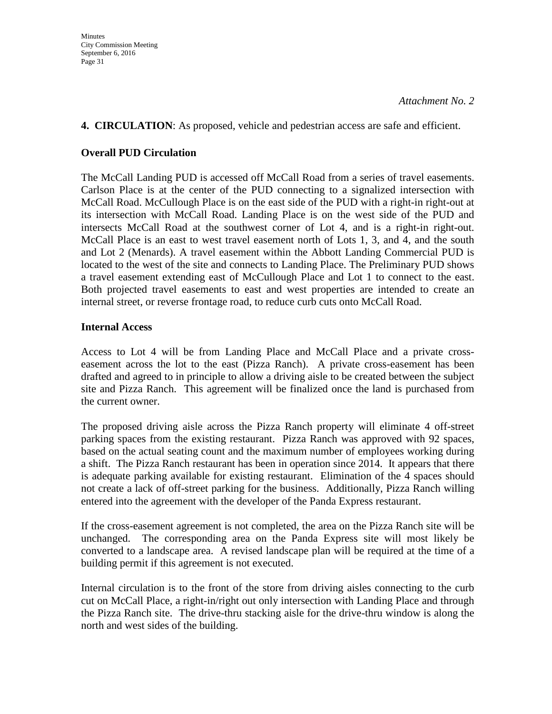### **4. CIRCULATION**: As proposed, vehicle and pedestrian access are safe and efficient.

#### **Overall PUD Circulation**

The McCall Landing PUD is accessed off McCall Road from a series of travel easements. Carlson Place is at the center of the PUD connecting to a signalized intersection with McCall Road. McCullough Place is on the east side of the PUD with a right-in right-out at its intersection with McCall Road. Landing Place is on the west side of the PUD and intersects McCall Road at the southwest corner of Lot 4, and is a right-in right-out. McCall Place is an east to west travel easement north of Lots 1, 3, and 4, and the south and Lot 2 (Menards). A travel easement within the Abbott Landing Commercial PUD is located to the west of the site and connects to Landing Place. The Preliminary PUD shows a travel easement extending east of McCullough Place and Lot 1 to connect to the east. Both projected travel easements to east and west properties are intended to create an internal street, or reverse frontage road, to reduce curb cuts onto McCall Road.

# **Internal Access**

Access to Lot 4 will be from Landing Place and McCall Place and a private crosseasement across the lot to the east (Pizza Ranch). A private cross-easement has been drafted and agreed to in principle to allow a driving aisle to be created between the subject site and Pizza Ranch. This agreement will be finalized once the land is purchased from the current owner.

The proposed driving aisle across the Pizza Ranch property will eliminate 4 off-street parking spaces from the existing restaurant. Pizza Ranch was approved with 92 spaces, based on the actual seating count and the maximum number of employees working during a shift. The Pizza Ranch restaurant has been in operation since 2014. It appears that there is adequate parking available for existing restaurant. Elimination of the 4 spaces should not create a lack of off-street parking for the business. Additionally, Pizza Ranch willing entered into the agreement with the developer of the Panda Express restaurant.

If the cross-easement agreement is not completed, the area on the Pizza Ranch site will be unchanged. The corresponding area on the Panda Express site will most likely be converted to a landscape area. A revised landscape plan will be required at the time of a building permit if this agreement is not executed.

Internal circulation is to the front of the store from driving aisles connecting to the curb cut on McCall Place, a right-in/right out only intersection with Landing Place and through the Pizza Ranch site. The drive-thru stacking aisle for the drive-thru window is along the north and west sides of the building.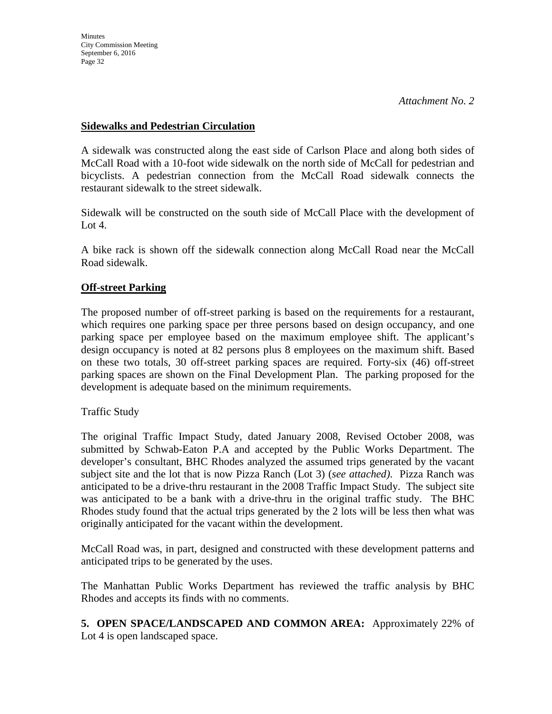### **Sidewalks and Pedestrian Circulation**

A sidewalk was constructed along the east side of Carlson Place and along both sides of McCall Road with a 10-foot wide sidewalk on the north side of McCall for pedestrian and bicyclists. A pedestrian connection from the McCall Road sidewalk connects the restaurant sidewalk to the street sidewalk.

Sidewalk will be constructed on the south side of McCall Place with the development of Lot  $4.$ 

A bike rack is shown off the sidewalk connection along McCall Road near the McCall Road sidewalk.

# **Off-street Parking**

The proposed number of off-street parking is based on the requirements for a restaurant, which requires one parking space per three persons based on design occupancy, and one parking space per employee based on the maximum employee shift. The applicant's design occupancy is noted at 82 persons plus 8 employees on the maximum shift. Based on these two totals, 30 off-street parking spaces are required. Forty-six (46) off-street parking spaces are shown on the Final Development Plan. The parking proposed for the development is adequate based on the minimum requirements.

# Traffic Study

The original Traffic Impact Study, dated January 2008, Revised October 2008, was submitted by Schwab-Eaton P.A and accepted by the Public Works Department. The developer's consultant, BHC Rhodes analyzed the assumed trips generated by the vacant subject site and the lot that is now Pizza Ranch (Lot 3) (*see attached)*. Pizza Ranch was anticipated to be a drive-thru restaurant in the 2008 Traffic Impact Study. The subject site was anticipated to be a bank with a drive-thru in the original traffic study. The BHC Rhodes study found that the actual trips generated by the 2 lots will be less then what was originally anticipated for the vacant within the development.

McCall Road was, in part, designed and constructed with these development patterns and anticipated trips to be generated by the uses.

The Manhattan Public Works Department has reviewed the traffic analysis by BHC Rhodes and accepts its finds with no comments.

**5. OPEN SPACE/LANDSCAPED AND COMMON AREA:** Approximately 22% of Lot 4 is open landscaped space.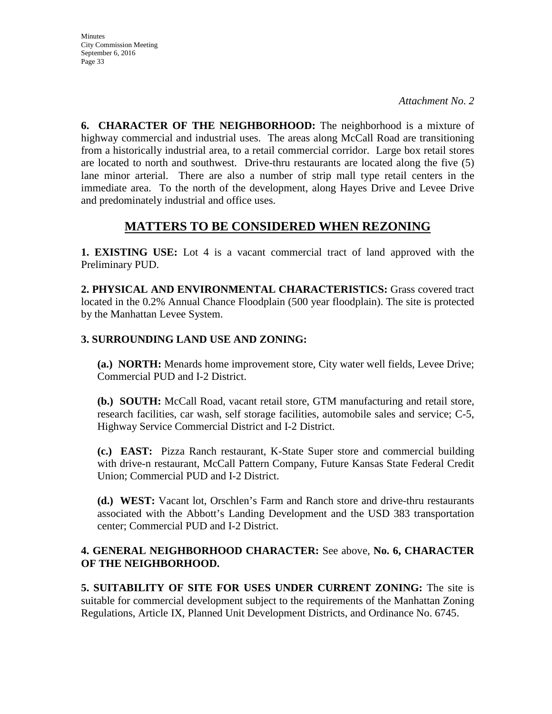**Minutes** City Commission Meeting September 6, 2016 Page 33

**6. CHARACTER OF THE NEIGHBORHOOD:** The neighborhood is a mixture of highway commercial and industrial uses. The areas along McCall Road are transitioning from a historically industrial area, to a retail commercial corridor. Large box retail stores are located to north and southwest. Drive-thru restaurants are located along the five (5) lane minor arterial. There are also a number of strip mall type retail centers in the immediate area. To the north of the development, along Hayes Drive and Levee Drive and predominately industrial and office uses.

# **MATTERS TO BE CONSIDERED WHEN REZONING**

**1. EXISTING USE:** Lot 4 is a vacant commercial tract of land approved with the Preliminary PUD.

**2. PHYSICAL AND ENVIRONMENTAL CHARACTERISTICS:** Grass covered tract located in the 0.2% Annual Chance Floodplain (500 year floodplain). The site is protected by the Manhattan Levee System.

# **3. SURROUNDING LAND USE AND ZONING:**

**(a.) NORTH:** Menards home improvement store, City water well fields, Levee Drive; Commercial PUD and I-2 District.

**(b.) SOUTH:** McCall Road, vacant retail store, GTM manufacturing and retail store, research facilities, car wash, self storage facilities, automobile sales and service; C-5, Highway Service Commercial District and I-2 District.

**(c.) EAST:** Pizza Ranch restaurant, K-State Super store and commercial building with drive-n restaurant, McCall Pattern Company, Future Kansas State Federal Credit Union; Commercial PUD and I-2 District.

**(d.) WEST:** Vacant lot, Orschlen's Farm and Ranch store and drive-thru restaurants associated with the Abbott's Landing Development and the USD 383 transportation center; Commercial PUD and I-2 District.

# **4. GENERAL NEIGHBORHOOD CHARACTER:** See above, **No. 6, CHARACTER OF THE NEIGHBORHOOD.**

**5. SUITABILITY OF SITE FOR USES UNDER CURRENT ZONING:** The site is suitable for commercial development subject to the requirements of the Manhattan Zoning Regulations, Article IX, Planned Unit Development Districts, and Ordinance No. 6745.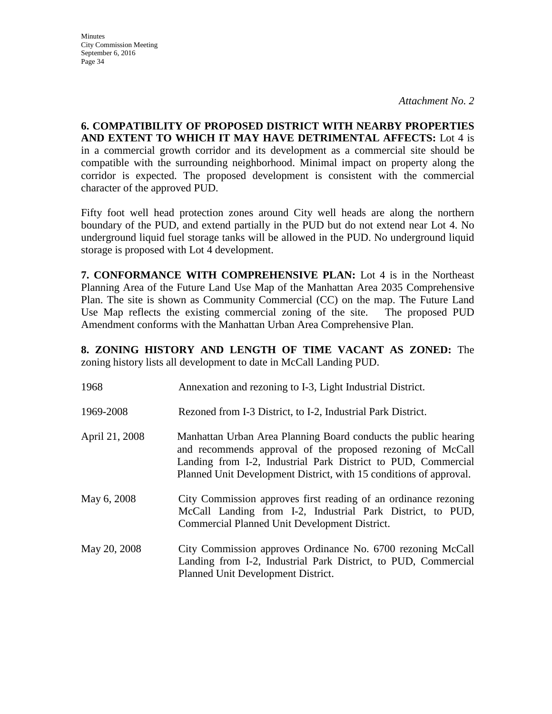**Minutes** City Commission Meeting September 6, 2016 Page 34

**6. COMPATIBILITY OF PROPOSED DISTRICT WITH NEARBY PROPERTIES AND EXTENT TO WHICH IT MAY HAVE DETRIMENTAL AFFECTS:** Lot 4 is in a commercial growth corridor and its development as a commercial site should be compatible with the surrounding neighborhood. Minimal impact on property along the corridor is expected. The proposed development is consistent with the commercial character of the approved PUD.

Fifty foot well head protection zones around City well heads are along the northern boundary of the PUD, and extend partially in the PUD but do not extend near Lot 4. No underground liquid fuel storage tanks will be allowed in the PUD. No underground liquid storage is proposed with Lot 4 development.

**7. CONFORMANCE WITH COMPREHENSIVE PLAN:** Lot 4 is in the Northeast Planning Area of the Future Land Use Map of the Manhattan Area 2035 Comprehensive Plan. The site is shown as Community Commercial (CC) on the map. The Future Land Use Map reflects the existing commercial zoning of the site. The proposed PUD Amendment conforms with the Manhattan Urban Area Comprehensive Plan.

**8. ZONING HISTORY AND LENGTH OF TIME VACANT AS ZONED:** The zoning history lists all development to date in McCall Landing PUD.

| 1968           | Annexation and rezoning to I-3, Light Industrial District.                                                                                                                                                                                                           |
|----------------|----------------------------------------------------------------------------------------------------------------------------------------------------------------------------------------------------------------------------------------------------------------------|
| 1969-2008      | Rezoned from I-3 District, to I-2, Industrial Park District.                                                                                                                                                                                                         |
| April 21, 2008 | Manhattan Urban Area Planning Board conducts the public hearing<br>and recommends approval of the proposed rezoning of McCall<br>Landing from I-2, Industrial Park District to PUD, Commercial<br>Planned Unit Development District, with 15 conditions of approval. |
| May 6, 2008    | City Commission approves first reading of an ordinance rezoning<br>McCall Landing from I-2, Industrial Park District, to PUD,<br>Commercial Planned Unit Development District.                                                                                       |
| May 20, 2008   | City Commission approves Ordinance No. 6700 rezoning McCall<br>Landing from I-2, Industrial Park District, to PUD, Commercial<br>Planned Unit Development District.                                                                                                  |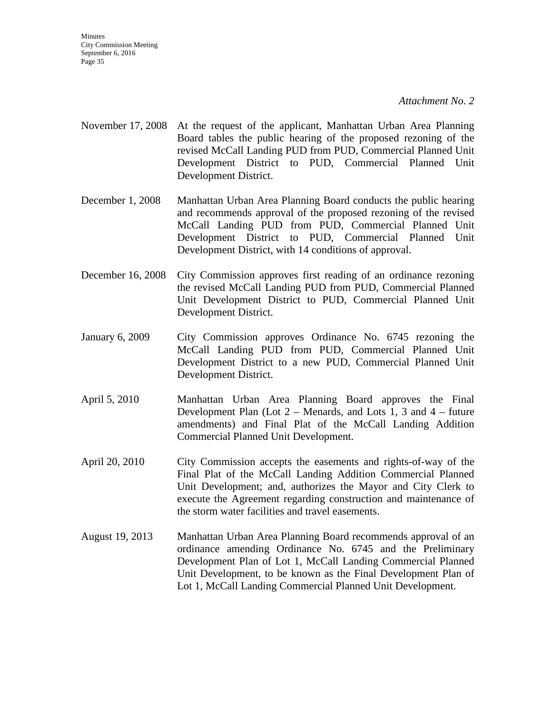- November 17, 2008 At the request of the applicant, Manhattan Urban Area Planning Board tables the public hearing of the proposed rezoning of the revised McCall Landing PUD from PUD, Commercial Planned Unit Development District to PUD, Commercial Planned Unit Development District.
- December 1, 2008 Manhattan Urban Area Planning Board conducts the public hearing and recommends approval of the proposed rezoning of the revised McCall Landing PUD from PUD, Commercial Planned Unit Development District to PUD, Commercial Planned Unit Development District, with 14 conditions of approval.
- December 16, 2008 City Commission approves first reading of an ordinance rezoning the revised McCall Landing PUD from PUD, Commercial Planned Unit Development District to PUD, Commercial Planned Unit Development District.
- January 6, 2009 City Commission approves Ordinance No. 6745 rezoning the McCall Landing PUD from PUD, Commercial Planned Unit Development District to a new PUD, Commercial Planned Unit Development District.
- April 5, 2010 Manhattan Urban Area Planning Board approves the Final Development Plan (Lot  $2$  – Menards, and Lots 1, 3 and  $4$  – future amendments) and Final Plat of the McCall Landing Addition Commercial Planned Unit Development.
- April 20, 2010 City Commission accepts the easements and rights-of-way of the Final Plat of the McCall Landing Addition Commercial Planned Unit Development; and, authorizes the Mayor and City Clerk to execute the Agreement regarding construction and maintenance of the storm water facilities and travel easements.
- August 19, 2013 Manhattan Urban Area Planning Board recommends approval of an ordinance amending Ordinance No. 6745 and the Preliminary Development Plan of Lot 1, McCall Landing Commercial Planned Unit Development, to be known as the Final Development Plan of Lot 1, McCall Landing Commercial Planned Unit Development.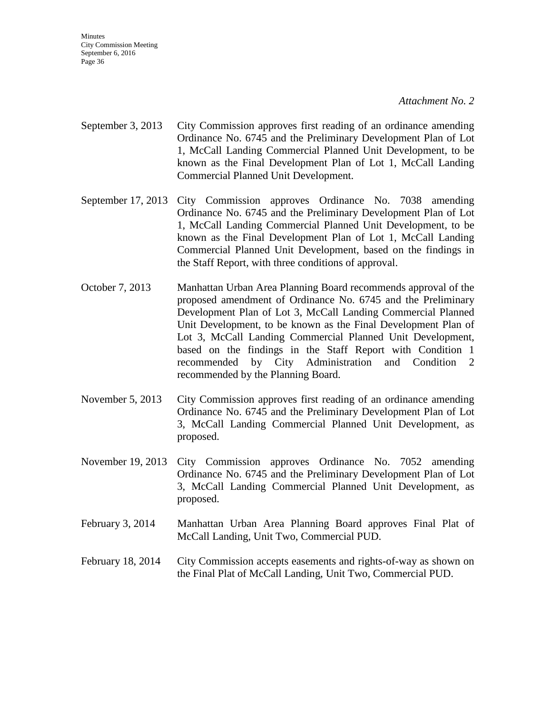**Minutes** City Commission Meeting September 6, 2016 Page 36

*Attachment No. 2*

- September 3, 2013 City Commission approves first reading of an ordinance amending Ordinance No. 6745 and the Preliminary Development Plan of Lot 1, McCall Landing Commercial Planned Unit Development, to be known as the Final Development Plan of Lot 1, McCall Landing Commercial Planned Unit Development.
- September 17, 2013 City Commission approves Ordinance No. 7038 amending Ordinance No. 6745 and the Preliminary Development Plan of Lot 1, McCall Landing Commercial Planned Unit Development, to be known as the Final Development Plan of Lot 1, McCall Landing Commercial Planned Unit Development, based on the findings in the Staff Report, with three conditions of approval.
- October 7, 2013 Manhattan Urban Area Planning Board recommends approval of the proposed amendment of Ordinance No. 6745 and the Preliminary Development Plan of Lot 3, McCall Landing Commercial Planned Unit Development, to be known as the Final Development Plan of Lot 3, McCall Landing Commercial Planned Unit Development, based on the findings in the Staff Report with Condition 1 recommended by City Administration and Condition 2 recommended by the Planning Board.
- November 5, 2013 City Commission approves first reading of an ordinance amending Ordinance No. 6745 and the Preliminary Development Plan of Lot 3, McCall Landing Commercial Planned Unit Development, as proposed.
- November 19, 2013 City Commission approves Ordinance No. 7052 amending Ordinance No. 6745 and the Preliminary Development Plan of Lot 3, McCall Landing Commercial Planned Unit Development, as proposed.
- February 3, 2014 Manhattan Urban Area Planning Board approves Final Plat of McCall Landing, Unit Two, Commercial PUD.
- February 18, 2014 City Commission accepts easements and rights-of-way as shown on the Final Plat of McCall Landing, Unit Two, Commercial PUD.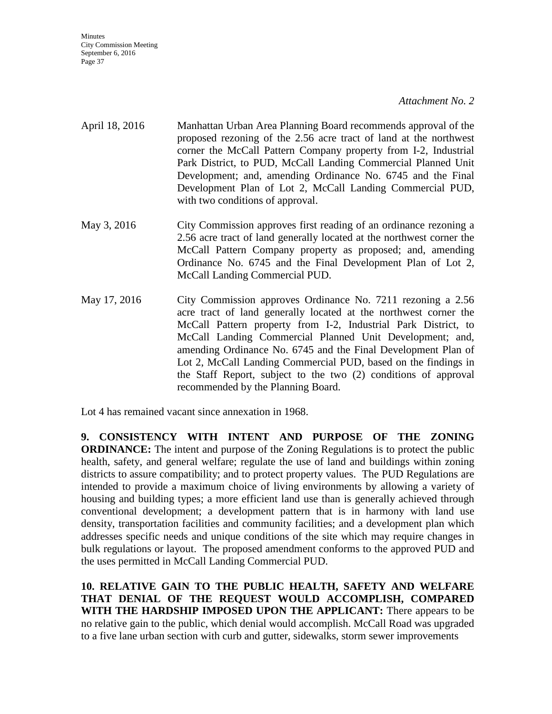Minutes City Commission Meeting September 6, 2016 Page 37

#### *Attachment No. 2*

- April 18, 2016 Manhattan Urban Area Planning Board recommends approval of the proposed rezoning of the 2.56 acre tract of land at the northwest corner the McCall Pattern Company property from I-2, Industrial Park District, to PUD, McCall Landing Commercial Planned Unit Development; and, amending Ordinance No. 6745 and the Final Development Plan of Lot 2, McCall Landing Commercial PUD, with two conditions of approval.
- May 3, 2016 City Commission approves first reading of an ordinance rezoning a 2.56 acre tract of land generally located at the northwest corner the McCall Pattern Company property as proposed; and, amending Ordinance No. 6745 and the Final Development Plan of Lot 2, McCall Landing Commercial PUD.
- May 17, 2016 City Commission approves Ordinance No. 7211 rezoning a 2.56 acre tract of land generally located at the northwest corner the McCall Pattern property from I-2, Industrial Park District, to McCall Landing Commercial Planned Unit Development; and, amending Ordinance No. 6745 and the Final Development Plan of Lot 2, McCall Landing Commercial PUD, based on the findings in the Staff Report, subject to the two (2) conditions of approval recommended by the Planning Board.

Lot 4 has remained vacant since annexation in 1968.

**9. CONSISTENCY WITH INTENT AND PURPOSE OF THE ZONING ORDINANCE:** The intent and purpose of the Zoning Regulations is to protect the public health, safety, and general welfare; regulate the use of land and buildings within zoning districts to assure compatibility; and to protect property values. The PUD Regulations are intended to provide a maximum choice of living environments by allowing a variety of housing and building types; a more efficient land use than is generally achieved through conventional development; a development pattern that is in harmony with land use density, transportation facilities and community facilities; and a development plan which addresses specific needs and unique conditions of the site which may require changes in bulk regulations or layout. The proposed amendment conforms to the approved PUD and the uses permitted in McCall Landing Commercial PUD.

**10. RELATIVE GAIN TO THE PUBLIC HEALTH, SAFETY AND WELFARE THAT DENIAL OF THE REQUEST WOULD ACCOMPLISH, COMPARED WITH THE HARDSHIP IMPOSED UPON THE APPLICANT:** There appears to be no relative gain to the public, which denial would accomplish. McCall Road was upgraded to a five lane urban section with curb and gutter, sidewalks, storm sewer improvements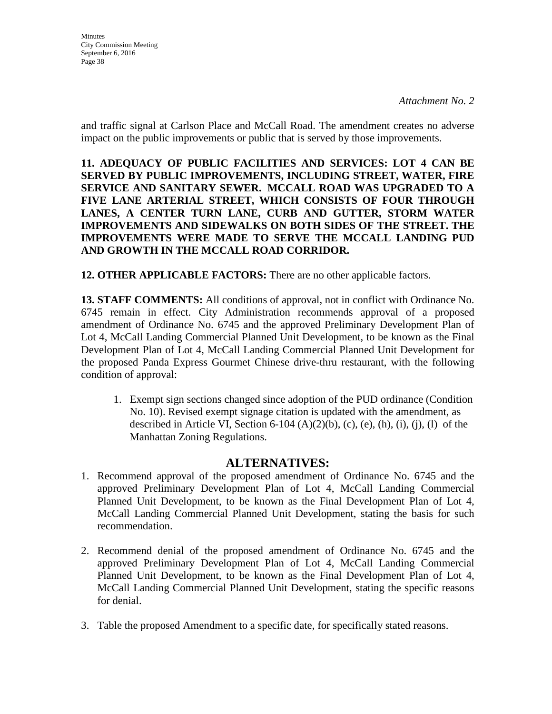and traffic signal at Carlson Place and McCall Road. The amendment creates no adverse impact on the public improvements or public that is served by those improvements.

**11. ADEQUACY OF PUBLIC FACILITIES AND SERVICES: LOT 4 CAN BE SERVED BY PUBLIC IMPROVEMENTS, INCLUDING STREET, WATER, FIRE SERVICE AND SANITARY SEWER. MCCALL ROAD WAS UPGRADED TO A FIVE LANE ARTERIAL STREET, WHICH CONSISTS OF FOUR THROUGH LANES, A CENTER TURN LANE, CURB AND GUTTER, STORM WATER IMPROVEMENTS AND SIDEWALKS ON BOTH SIDES OF THE STREET. THE IMPROVEMENTS WERE MADE TO SERVE THE MCCALL LANDING PUD AND GROWTH IN THE MCCALL ROAD CORRIDOR.**

**12. OTHER APPLICABLE FACTORS:** There are no other applicable factors.

**13. STAFF COMMENTS:** All conditions of approval, not in conflict with Ordinance No. 6745 remain in effect. City Administration recommends approval of a proposed amendment of Ordinance No. 6745 and the approved Preliminary Development Plan of Lot 4, McCall Landing Commercial Planned Unit Development, to be known as the Final Development Plan of Lot 4, McCall Landing Commercial Planned Unit Development for the proposed Panda Express Gourmet Chinese drive-thru restaurant, with the following condition of approval:

1. Exempt sign sections changed since adoption of the PUD ordinance (Condition No. 10). Revised exempt signage citation is updated with the amendment, as described in Article VI, Section 6-104  $(A)(2)(b)$ , (c), (e), (h), (i), (i), (l) of the Manhattan Zoning Regulations.

# **ALTERNATIVES:**

- 1. Recommend approval of the proposed amendment of Ordinance No. 6745 and the approved Preliminary Development Plan of Lot 4, McCall Landing Commercial Planned Unit Development, to be known as the Final Development Plan of Lot 4, McCall Landing Commercial Planned Unit Development, stating the basis for such recommendation.
- 2. Recommend denial of the proposed amendment of Ordinance No. 6745 and the approved Preliminary Development Plan of Lot 4, McCall Landing Commercial Planned Unit Development, to be known as the Final Development Plan of Lot 4, McCall Landing Commercial Planned Unit Development, stating the specific reasons for denial.
- 3. Table the proposed Amendment to a specific date, for specifically stated reasons.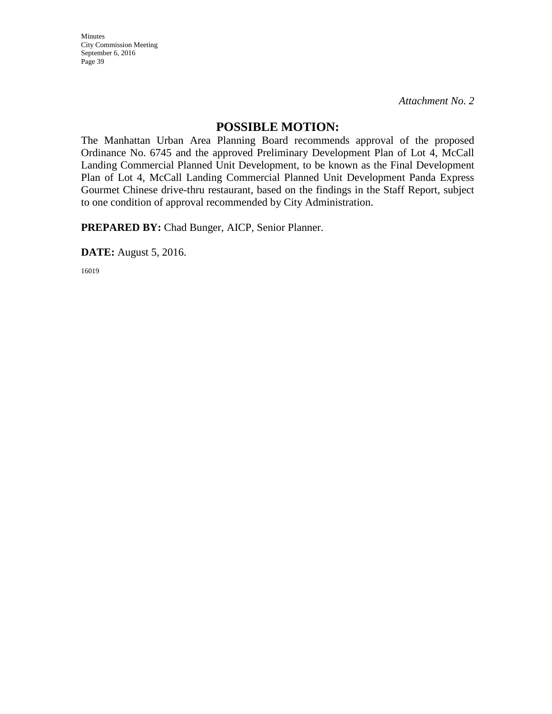Minutes City Commission Meeting September 6, 2016 Page 39

*Attachment No. 2*

# **POSSIBLE MOTION:**

The Manhattan Urban Area Planning Board recommends approval of the proposed Ordinance No. 6745 and the approved Preliminary Development Plan of Lot 4, McCall Landing Commercial Planned Unit Development, to be known as the Final Development Plan of Lot 4, McCall Landing Commercial Planned Unit Development Panda Express Gourmet Chinese drive-thru restaurant, based on the findings in the Staff Report, subject to one condition of approval recommended by City Administration.

**PREPARED BY:** Chad Bunger, AICP, Senior Planner.

**DATE:** August 5, 2016.

16019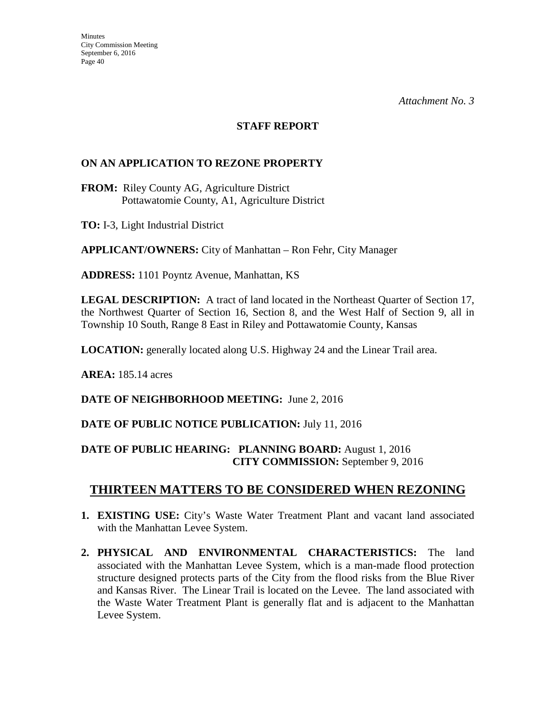# **STAFF REPORT**

# **ON AN APPLICATION TO REZONE PROPERTY**

**FROM:** Riley County AG, Agriculture District Pottawatomie County, A1, Agriculture District

**TO:** I-3, Light Industrial District

**APPLICANT/OWNERS:** City of Manhattan – Ron Fehr, City Manager

**ADDRESS:** 1101 Poyntz Avenue, Manhattan, KS

**LEGAL DESCRIPTION:** A tract of land located in the Northeast Quarter of Section 17, the Northwest Quarter of Section 16, Section 8, and the West Half of Section 9, all in Township 10 South, Range 8 East in Riley and Pottawatomie County, Kansas

**LOCATION:** generally located along U.S. Highway 24 and the Linear Trail area.

**AREA:** 185.14 acres

**DATE OF NEIGHBORHOOD MEETING:** June 2, 2016

# **DATE OF PUBLIC NOTICE PUBLICATION:** July 11, 2016

# **DATE OF PUBLIC HEARING: PLANNING BOARD:** August 1, 2016 **CITY COMMISSION:** September 9, 2016

# **THIRTEEN MATTERS TO BE CONSIDERED WHEN REZONING**

- **1. EXISTING USE:** City's Waste Water Treatment Plant and vacant land associated with the Manhattan Levee System.
- **2. PHYSICAL AND ENVIRONMENTAL CHARACTERISTICS:** The land associated with the Manhattan Levee System, which is a man-made flood protection structure designed protects parts of the City from the flood risks from the Blue River and Kansas River. The Linear Trail is located on the Levee. The land associated with the Waste Water Treatment Plant is generally flat and is adjacent to the Manhattan Levee System.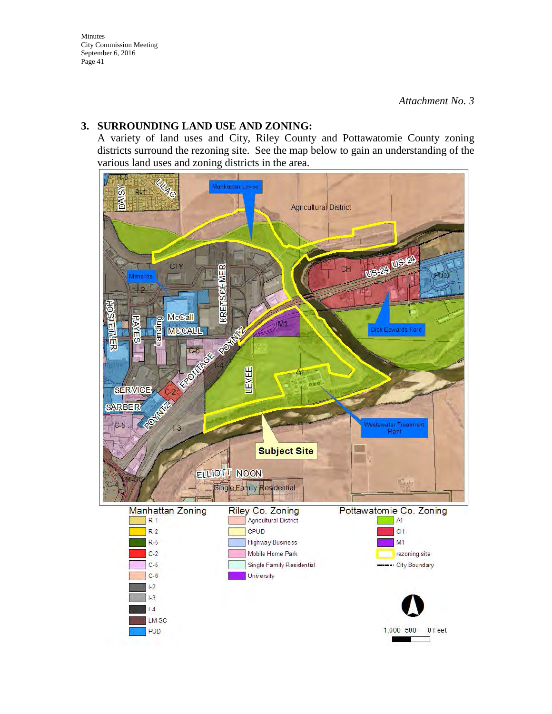### **3. SURROUNDING LAND USE AND ZONING:**

A variety of land uses and City, Riley County and Pottawatomie County zoning districts surround the rezoning site. See the map below to gain an understanding of the various land uses and zoning districts in the area.

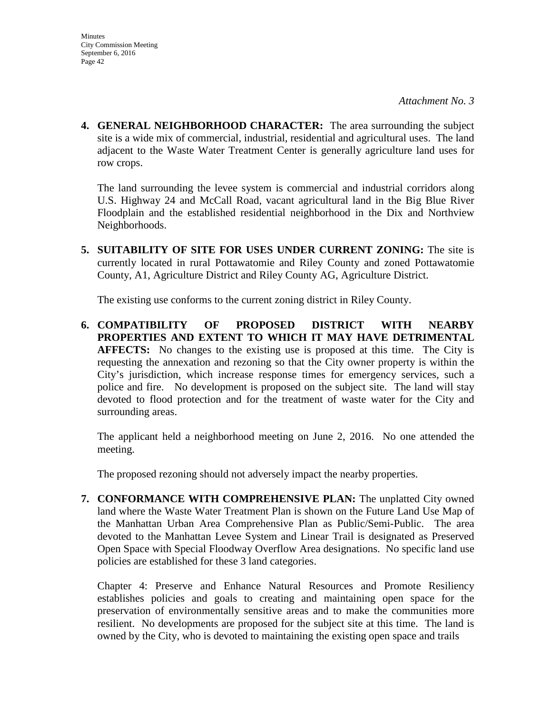**4. GENERAL NEIGHBORHOOD CHARACTER:** The area surrounding the subject site is a wide mix of commercial, industrial, residential and agricultural uses. The land adjacent to the Waste Water Treatment Center is generally agriculture land uses for row crops.

The land surrounding the levee system is commercial and industrial corridors along U.S. Highway 24 and McCall Road, vacant agricultural land in the Big Blue River Floodplain and the established residential neighborhood in the Dix and Northview Neighborhoods.

**5. SUITABILITY OF SITE FOR USES UNDER CURRENT ZONING:** The site is currently located in rural Pottawatomie and Riley County and zoned Pottawatomie County, A1, Agriculture District and Riley County AG, Agriculture District.

The existing use conforms to the current zoning district in Riley County.

**6. COMPATIBILITY OF PROPOSED DISTRICT WITH NEARBY PROPERTIES AND EXTENT TO WHICH IT MAY HAVE DETRIMENTAL AFFECTS:** No changes to the existing use is proposed at this time. The City is requesting the annexation and rezoning so that the City owner property is within the City's jurisdiction, which increase response times for emergency services, such a police and fire. No development is proposed on the subject site. The land will stay devoted to flood protection and for the treatment of waste water for the City and surrounding areas.

The applicant held a neighborhood meeting on June 2, 2016. No one attended the meeting.

The proposed rezoning should not adversely impact the nearby properties.

**7. CONFORMANCE WITH COMPREHENSIVE PLAN:** The unplatted City owned land where the Waste Water Treatment Plan is shown on the Future Land Use Map of the Manhattan Urban Area Comprehensive Plan as Public/Semi-Public. The area devoted to the Manhattan Levee System and Linear Trail is designated as Preserved Open Space with Special Floodway Overflow Area designations. No specific land use policies are established for these 3 land categories.

Chapter 4: Preserve and Enhance Natural Resources and Promote Resiliency establishes policies and goals to creating and maintaining open space for the preservation of environmentally sensitive areas and to make the communities more resilient. No developments are proposed for the subject site at this time. The land is owned by the City, who is devoted to maintaining the existing open space and trails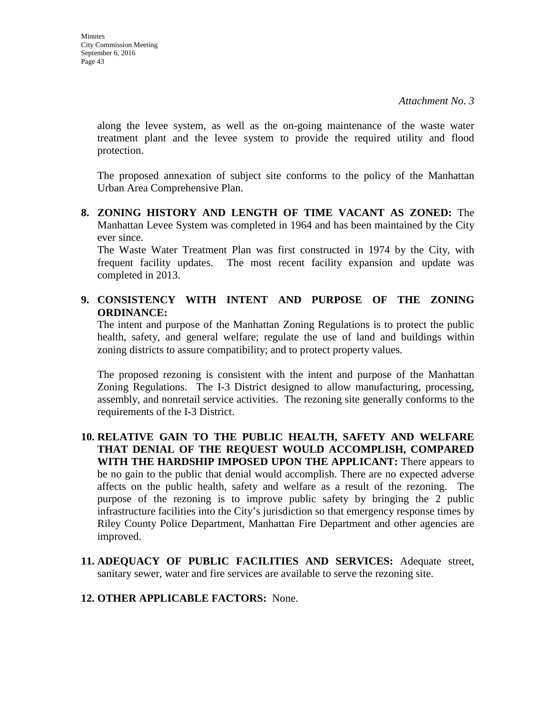along the levee system, as well as the on-going maintenance of the waste water treatment plant and the levee system to provide the required utility and flood protection.

The proposed annexation of subject site conforms to the policy of the Manhattan Urban Area Comprehensive Plan.

**8. ZONING HISTORY AND LENGTH OF TIME VACANT AS ZONED:** The Manhattan Levee System was completed in 1964 and has been maintained by the City ever since.

The Waste Water Treatment Plan was first constructed in 1974 by the City, with frequent facility updates. The most recent facility expansion and update was completed in 2013.

# **9. CONSISTENCY WITH INTENT AND PURPOSE OF THE ZONING ORDINANCE:**

The intent and purpose of the Manhattan Zoning Regulations is to protect the public health, safety, and general welfare; regulate the use of land and buildings within zoning districts to assure compatibility; and to protect property values.

The proposed rezoning is consistent with the intent and purpose of the Manhattan Zoning Regulations. The I-3 District designed to allow manufacturing, processing, assembly, and nonretail service activities. The rezoning site generally conforms to the requirements of the I-3 District.

- **10. RELATIVE GAIN TO THE PUBLIC HEALTH, SAFETY AND WELFARE THAT DENIAL OF THE REQUEST WOULD ACCOMPLISH, COMPARED WITH THE HARDSHIP IMPOSED UPON THE APPLICANT:** There appears to be no gain to the public that denial would accomplish. There are no expected adverse affects on the public health, safety and welfare as a result of the rezoning. The purpose of the rezoning is to improve public safety by bringing the 2 public infrastructure facilities into the City's jurisdiction so that emergency response times by Riley County Police Department, Manhattan Fire Department and other agencies are improved.
- **11. ADEQUACY OF PUBLIC FACILITIES AND SERVICES:** Adequate street, sanitary sewer, water and fire services are available to serve the rezoning site.
- **12. OTHER APPLICABLE FACTORS:** None.